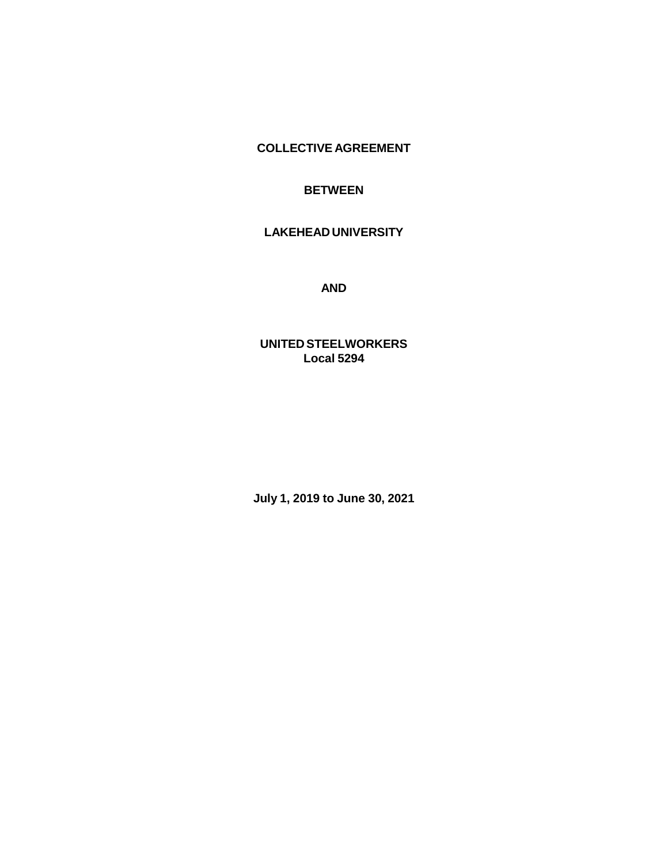**COLLECTIVE AGREEMENT**

## **BETWEEN**

# **LAKEHEAD UNIVERSITY**

**AND**

**UNITED STEELWORKERS Local 5294**

**July 1, 2019 to June 30, 2021**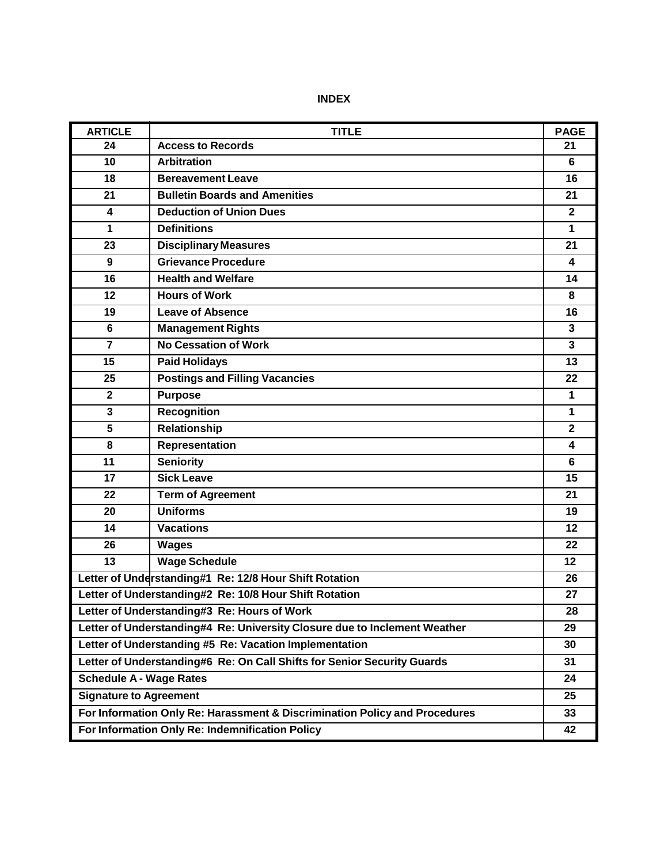| <b>ARTICLE</b>                                                             | <b>TITLE</b>                          | <b>PAGE</b>  |
|----------------------------------------------------------------------------|---------------------------------------|--------------|
| 24                                                                         | <b>Access to Records</b>              | 21           |
| 10                                                                         | <b>Arbitration</b>                    | 6            |
| 18                                                                         | <b>Bereavement Leave</b>              | 16           |
| 21                                                                         | <b>Bulletin Boards and Amenities</b>  | 21           |
| $\overline{\mathbf{4}}$                                                    | <b>Deduction of Union Dues</b>        | $\mathbf{2}$ |
| 1                                                                          | <b>Definitions</b>                    | $\mathbf{1}$ |
| 23                                                                         | <b>Disciplinary Measures</b>          | 21           |
| 9                                                                          | <b>Grievance Procedure</b>            | 4            |
| 16                                                                         | <b>Health and Welfare</b>             | 14           |
| 12                                                                         | <b>Hours of Work</b>                  | 8            |
| 19                                                                         | <b>Leave of Absence</b>               | 16           |
| $6\phantom{1}$                                                             | <b>Management Rights</b>              | $\mathbf{3}$ |
| $\overline{7}$                                                             | <b>No Cessation of Work</b>           | $\mathbf{3}$ |
| 15                                                                         | <b>Paid Holidays</b>                  | 13           |
| 25                                                                         | <b>Postings and Filling Vacancies</b> | 22           |
| $\overline{2}$                                                             | <b>Purpose</b>                        | $\mathbf{1}$ |
| 3                                                                          | <b>Recognition</b>                    | $\mathbf{1}$ |
| 5                                                                          | <b>Relationship</b>                   | $\mathbf{2}$ |
| 8                                                                          | Representation                        | 4            |
| 11                                                                         | <b>Seniority</b>                      | 6            |
| 17                                                                         | <b>Sick Leave</b>                     | 15           |
| 22                                                                         | <b>Term of Agreement</b>              | 21           |
| 20                                                                         | <b>Uniforms</b>                       | 19           |
| 14                                                                         | <b>Vacations</b>                      | 12           |
| 26                                                                         | <b>Wages</b>                          | 22           |
| 13                                                                         | <b>Wage Schedule</b>                  | 12           |
| Letter of Understanding#1 Re: 12/8 Hour Shift Rotation                     |                                       | 26           |
| Letter of Understanding#2 Re: 10/8 Hour Shift Rotation                     |                                       | 27           |
| Letter of Understanding#3 Re: Hours of Work                                |                                       | 28           |
| Letter of Understanding#4 Re: University Closure due to Inclement Weather  |                                       | 29           |
| Letter of Understanding #5 Re: Vacation Implementation                     |                                       | 30           |
| Letter of Understanding#6 Re: On Call Shifts for Senior Security Guards    |                                       |              |
| <b>Schedule A - Wage Rates</b>                                             |                                       | 24           |
| <b>Signature to Agreement</b>                                              |                                       | 25           |
| For Information Only Re: Harassment & Discrimination Policy and Procedures |                                       |              |
| For Information Only Re: Indemnification Policy                            |                                       |              |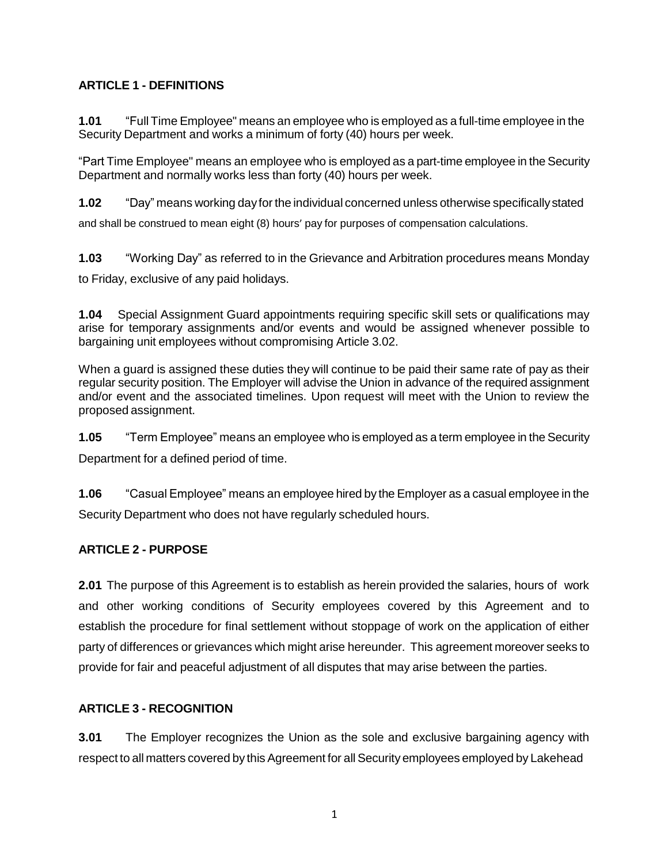# **ARTICLE 1 - DEFINITIONS**

**1.01** "Full Time Employee" means an employee who is employed as a full-time employee in the Security Department and works a minimum of forty (40) hours per week.

"Part Time Employee" means an employee who is employed as a part-time employee in the Security Department and normally works less than forty (40) hours per week.

**1.02** "Day" means working day forthe individual concerned unless otherwise specificallystated

and shall be construed to mean eight (8) hours' pay for purposes of compensation calculations.

**1.03** "Working Day" as referred to in the Grievance and Arbitration procedures means Monday to Friday, exclusive of any paid holidays.

**1.04** Special Assignment Guard appointments requiring specific skill sets or qualifications may arise for temporary assignments and/or events and would be assigned whenever possible to bargaining unit employees without compromising Article 3.02.

When a guard is assigned these duties they will continue to be paid their same rate of pay as their regular security position. The Employer will advise the Union in advance of the required assignment and/or event and the associated timelines. Upon request will meet with the Union to review the proposed assignment.

**1.05** "Term Employee" means an employee who is employed as a term employee in the Security Department for a defined period of time.

**1.06** "Casual Employee" means an employee hired by the Employer as a casual employee in the Security Department who does not have regularly scheduled hours.

# **ARTICLE 2 - PURPOSE**

**2.01** The purpose of this Agreement is to establish as herein provided the salaries, hours of work and other working conditions of Security employees covered by this Agreement and to establish the procedure for final settlement without stoppage of work on the application of either party of differences or grievances which might arise hereunder. This agreement moreover seeks to provide for fair and peaceful adjustment of all disputes that may arise between the parties.

# **ARTICLE 3 - RECOGNITION**

**3.01** The Employer recognizes the Union as the sole and exclusive bargaining agency with respect to all matters covered by this Agreement for all Security employees employed by Lakehead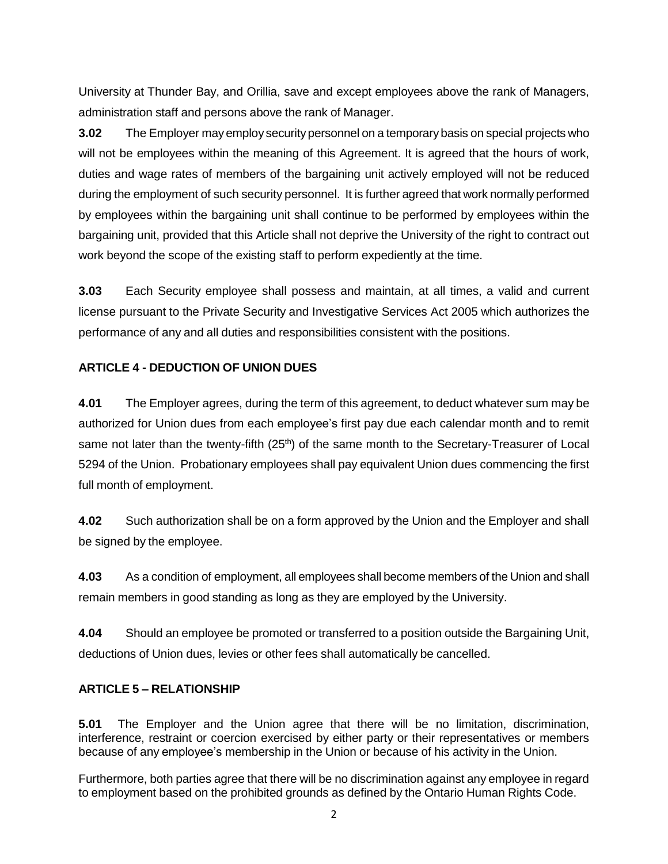University at Thunder Bay, and Orillia, save and except employees above the rank of Managers, administration staff and persons above the rank of Manager.

**3.02** The Employer may employ securitypersonnel on a temporarybasis on special projects who will not be employees within the meaning of this Agreement. It is agreed that the hours of work, duties and wage rates of members of the bargaining unit actively employed will not be reduced during the employment of such security personnel. It is further agreed that work normally performed by employees within the bargaining unit shall continue to be performed by employees within the bargaining unit, provided that this Article shall not deprive the University of the right to contract out work beyond the scope of the existing staff to perform expediently at the time.

**3.03** Each Security employee shall possess and maintain, at all times, a valid and current license pursuant to the Private Security and Investigative Services Act 2005 which authorizes the performance of any and all duties and responsibilities consistent with the positions.

## **ARTICLE 4 - DEDUCTION OF UNION DUES**

**4.01** The Employer agrees, during the term of this agreement, to deduct whatever sum may be authorized for Union dues from each employee's first pay due each calendar month and to remit same not later than the twenty-fifth (25<sup>th</sup>) of the same month to the Secretary-Treasurer of Local 5294 of the Union. Probationary employees shall pay equivalent Union dues commencing the first full month of employment.

**4.02** Such authorization shall be on a form approved by the Union and the Employer and shall be signed by the employee.

**4.03** As a condition of employment, all employees shall become members of the Union and shall remain members in good standing as long as they are employed by the University.

**4.04** Should an employee be promoted or transferred to a position outside the Bargaining Unit, deductions of Union dues, levies or other fees shall automatically be cancelled.

## **ARTICLE 5 – RELATIONSHIP**

**5.01** The Employer and the Union agree that there will be no limitation, discrimination, interference, restraint or coercion exercised by either party or their representatives or members because of any employee's membership in the Union or because of his activity in the Union.

Furthermore, both parties agree that there will be no discrimination against any employee in regard to employment based on the prohibited grounds as defined by the Ontario Human Rights Code.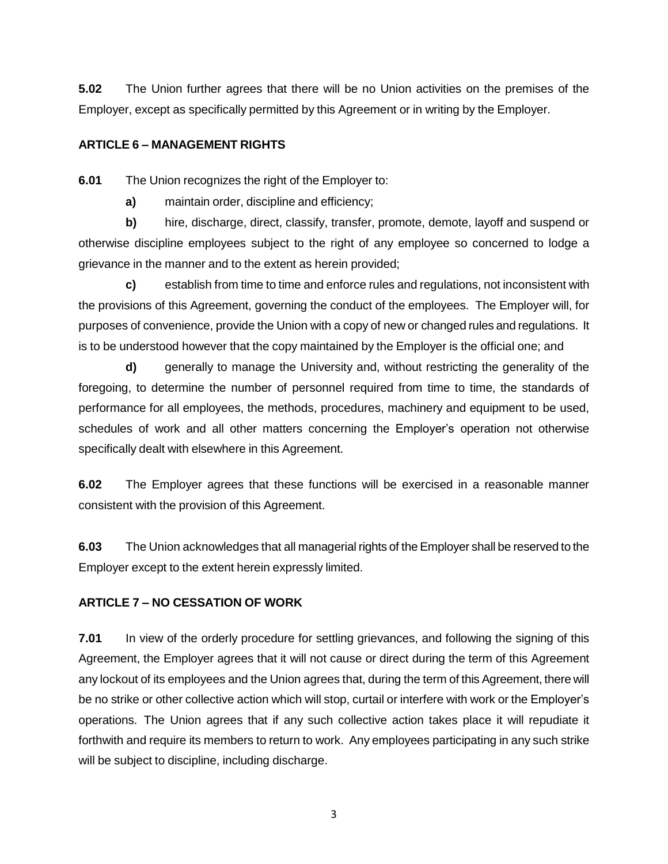**5.02** The Union further agrees that there will be no Union activities on the premises of the Employer, except as specifically permitted by this Agreement or in writing by the Employer.

## **ARTICLE 6 – MANAGEMENT RIGHTS**

**6.01** The Union recognizes the right of the Employer to:

**a)** maintain order, discipline and efficiency;

**b)** hire, discharge, direct, classify, transfer, promote, demote, layoff and suspend or otherwise discipline employees subject to the right of any employee so concerned to lodge a grievance in the manner and to the extent as herein provided;

**c)** establish from time to time and enforce rules and regulations, not inconsistent with the provisions of this Agreement, governing the conduct of the employees. The Employer will, for purposes of convenience, provide the Union with a copy of new or changed rules and regulations. It is to be understood however that the copy maintained by the Employer is the official one; and

**d)** generally to manage the University and, without restricting the generality of the foregoing, to determine the number of personnel required from time to time, the standards of performance for all employees, the methods, procedures, machinery and equipment to be used, schedules of work and all other matters concerning the Employer's operation not otherwise specifically dealt with elsewhere in this Agreement.

**6.02** The Employer agrees that these functions will be exercised in a reasonable manner consistent with the provision of this Agreement.

**6.03** The Union acknowledges that all managerial rights of the Employer shall be reserved to the Employer except to the extent herein expressly limited.

## **ARTICLE 7 – NO CESSATION OF WORK**

**7.01** In view of the orderly procedure for settling grievances, and following the signing of this Agreement, the Employer agrees that it will not cause or direct during the term of this Agreement any lockout of its employees and the Union agrees that, during the term of this Agreement, there will be no strike or other collective action which will stop, curtail or interfere with work or the Employer's operations. The Union agrees that if any such collective action takes place it will repudiate it forthwith and require its members to return to work. Any employees participating in any such strike will be subject to discipline, including discharge.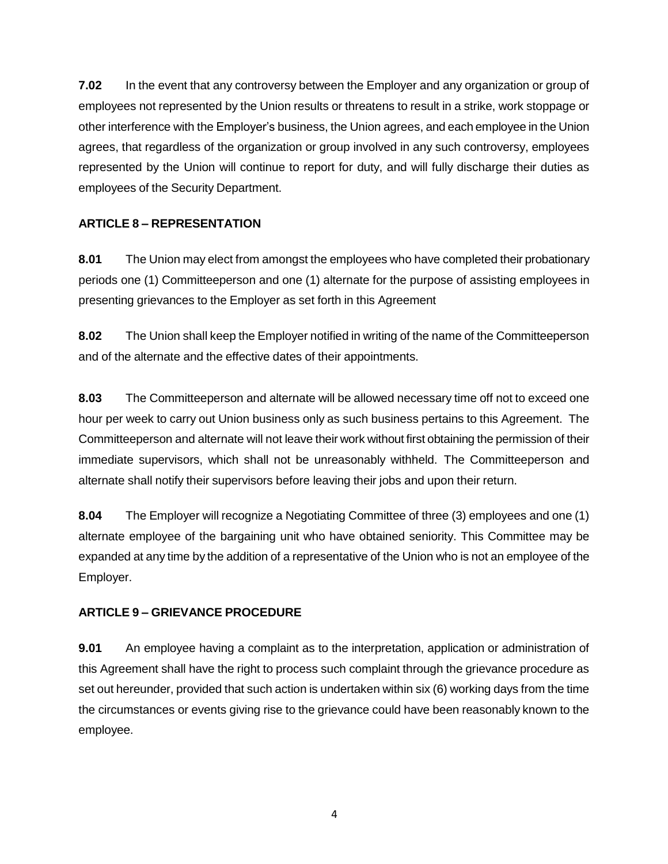**7.02** In the event that any controversy between the Employer and any organization or group of employees not represented by the Union results or threatens to result in a strike, work stoppage or other interference with the Employer's business, the Union agrees, and each employee in the Union agrees, that regardless of the organization or group involved in any such controversy, employees represented by the Union will continue to report for duty, and will fully discharge their duties as employees of the Security Department.

# **ARTICLE 8 – REPRESENTATION**

**8.01** The Union may elect from amongst the employees who have completed their probationary periods one (1) Committeeperson and one (1) alternate for the purpose of assisting employees in presenting grievances to the Employer as set forth in this Agreement

**8.02** The Union shall keep the Employer notified in writing of the name of the Committeeperson and of the alternate and the effective dates of their appointments.

**8.03** The Committeeperson and alternate will be allowed necessary time off not to exceed one hour per week to carry out Union business only as such business pertains to this Agreement. The Committeeperson and alternate will not leave their work without first obtaining the permission of their immediate supervisors, which shall not be unreasonably withheld. The Committeeperson and alternate shall notify their supervisors before leaving their jobs and upon their return.

**8.04** The Employer will recognize a Negotiating Committee of three (3) employees and one (1) alternate employee of the bargaining unit who have obtained seniority. This Committee may be expanded at any time by the addition of a representative of the Union who is not an employee of the Employer.

# **ARTICLE 9 – GRIEVANCE PROCEDURE**

**9.01** An employee having a complaint as to the interpretation, application or administration of this Agreement shall have the right to process such complaint through the grievance procedure as set out hereunder, provided that such action is undertaken within six (6) working days from the time the circumstances or events giving rise to the grievance could have been reasonably known to the employee.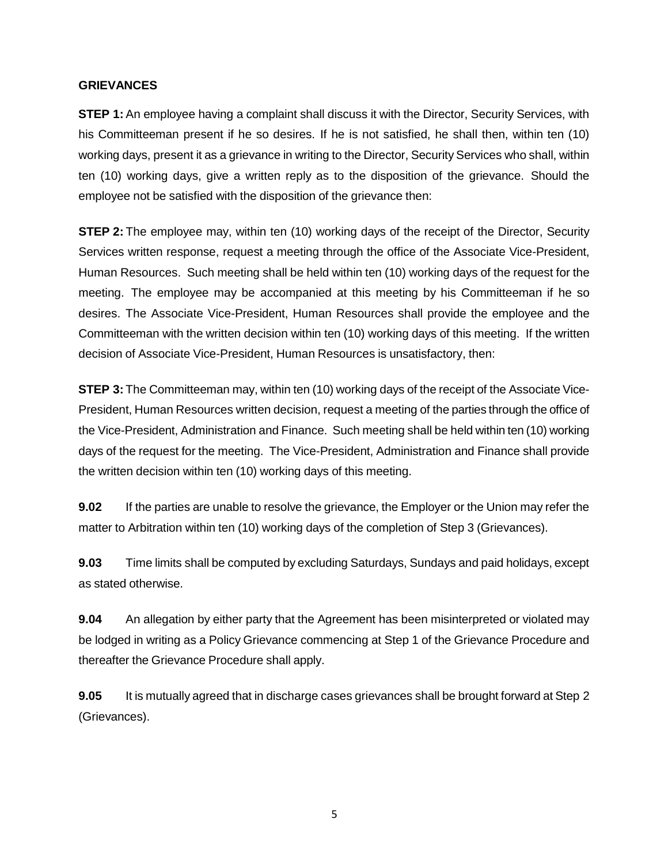#### **GRIEVANCES**

**STEP 1:** An employee having a complaint shall discuss it with the Director, Security Services, with his Committeeman present if he so desires. If he is not satisfied, he shall then, within ten (10) working days, present it as a grievance in writing to the Director, Security Services who shall, within ten (10) working days, give a written reply as to the disposition of the grievance. Should the employee not be satisfied with the disposition of the grievance then:

**STEP 2:** The employee may, within ten (10) working days of the receipt of the Director, Security Services written response, request a meeting through the office of the Associate Vice-President, Human Resources. Such meeting shall be held within ten (10) working days of the request for the meeting. The employee may be accompanied at this meeting by his Committeeman if he so desires. The Associate Vice-President, Human Resources shall provide the employee and the Committeeman with the written decision within ten (10) working days of this meeting. If the written decision of Associate Vice-President, Human Resources is unsatisfactory, then:

**STEP 3:** The Committeeman may, within ten (10) working days of the receipt of the Associate Vice-President, Human Resources written decision, request a meeting of the parties through the office of the Vice-President, Administration and Finance. Such meeting shall be held within ten (10) working days of the request for the meeting. The Vice-President, Administration and Finance shall provide the written decision within ten (10) working days of this meeting.

**9.02** If the parties are unable to resolve the grievance, the Employer or the Union may refer the matter to Arbitration within ten (10) working days of the completion of Step 3 (Grievances).

**9.03** Time limits shall be computed by excluding Saturdays, Sundays and paid holidays, except as stated otherwise.

**9.04** An allegation by either party that the Agreement has been misinterpreted or violated may be lodged in writing as a Policy Grievance commencing at Step 1 of the Grievance Procedure and thereafter the Grievance Procedure shall apply.

**9.05** It is mutually agreed that in discharge cases grievances shall be brought forward at Step 2 (Grievances).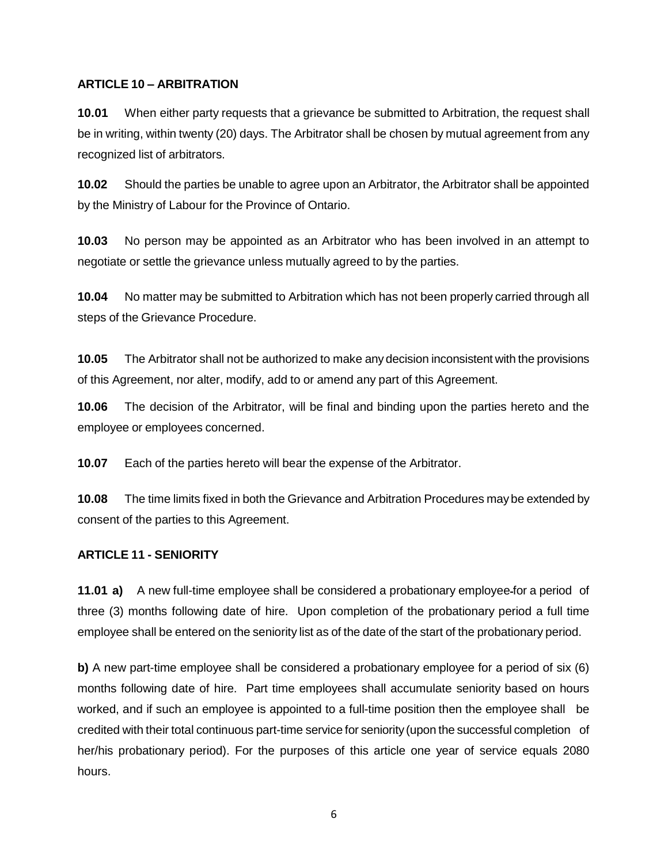## **ARTICLE 10 – ARBITRATION**

**10.01** When either party requests that a grievance be submitted to Arbitration, the request shall be in writing, within twenty (20) days. The Arbitrator shall be chosen by mutual agreement from any recognized list of arbitrators.

**10.02** Should the parties be unable to agree upon an Arbitrator, the Arbitrator shall be appointed by the Ministry of Labour for the Province of Ontario.

**10.03** No person may be appointed as an Arbitrator who has been involved in an attempt to negotiate or settle the grievance unless mutually agreed to by the parties.

**10.04** No matter may be submitted to Arbitration which has not been properly carried through all steps of the Grievance Procedure.

**10.05** The Arbitrator shall not be authorized to make any decision inconsistent with the provisions of this Agreement, nor alter, modify, add to or amend any part of this Agreement.

**10.06** The decision of the Arbitrator, will be final and binding upon the parties hereto and the employee or employees concerned.

**10.07** Each of the parties hereto will bear the expense of the Arbitrator.

**10.08** The time limits fixed in both the Grievance and Arbitration Procedures may be extended by consent of the parties to this Agreement.

## **ARTICLE 11 - SENIORITY**

**11.01 a)** A new full-time employee shall be considered a probationary employee-for a period of three (3) months following date of hire. Upon completion of the probationary period a full time employee shall be entered on the seniority list as of the date of the start of the probationary period.

**b)** A new part-time employee shall be considered a probationary employee for a period of six (6) months following date of hire. Part time employees shall accumulate seniority based on hours worked, and if such an employee is appointed to a full-time position then the employee shall be credited with their total continuous part-time service for seniority (upon the successful completion of her/his probationary period). For the purposes of this article one year of service equals 2080 hours.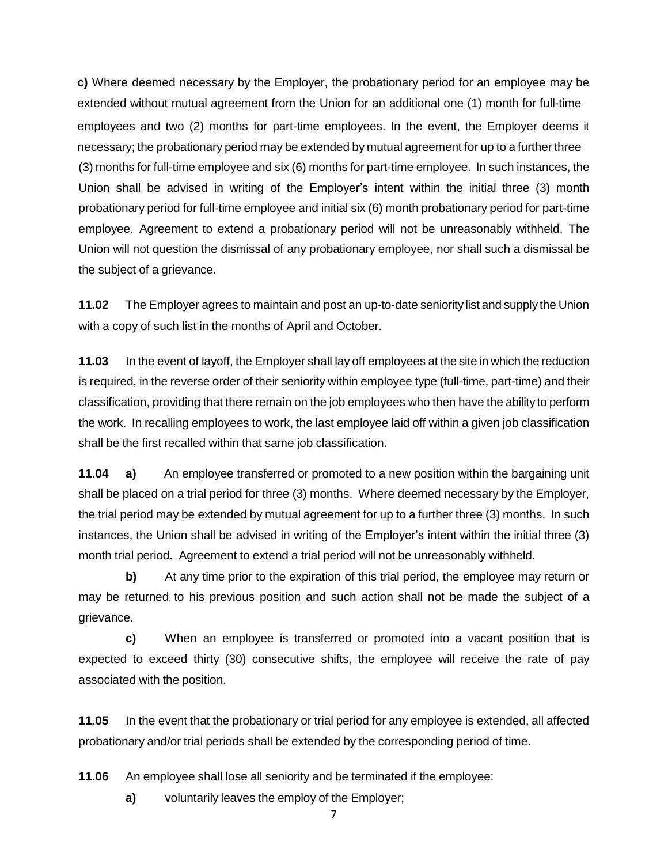**c)** Where deemed necessary by the Employer, the probationary period for an employee may be extended without mutual agreement from the Union for an additional one (1) month for full-time employees and two (2) months for part-time employees. In the event, the Employer deems it necessary; the probationary period may be extended by mutual agreement for up to a further three (3) months for full-time employee and six (6) months for part-time employee. In such instances, the Union shall be advised in writing of the Employer's intent within the initial three (3) month probationary period for full-time employee and initial six (6) month probationary period for part-time employee. Agreement to extend a probationary period will not be unreasonably withheld. The Union will not question the dismissal of any probationary employee, nor shall such a dismissal be the subject of a grievance.

**11.02** The Employer agrees to maintain and post an up-to-date seniority list and supply the Union with a copy of such list in the months of April and October.

**11.03** In the event of layoff, the Employer shall lay off employees at the site in which the reduction is required, in the reverse order of their seniority within employee type (full-time, part-time) and their classification, providing that there remain on the job employees who then have the ability to perform the work. In recalling employees to work, the last employee laid off within a given job classification shall be the first recalled within that same job classification.

**11.04 a)** An employee transferred or promoted to a new position within the bargaining unit shall be placed on a trial period for three (3) months. Where deemed necessary by the Employer, the trial period may be extended by mutual agreement for up to a further three (3) months. In such instances, the Union shall be advised in writing of the Employer's intent within the initial three (3) month trial period. Agreement to extend a trial period will not be unreasonably withheld.

**b)** At any time prior to the expiration of this trial period, the employee may return or may be returned to his previous position and such action shall not be made the subject of a grievance.

**c)** When an employee is transferred or promoted into a vacant position that is expected to exceed thirty (30) consecutive shifts, the employee will receive the rate of pay associated with the position.

**11.05** In the event that the probationary or trial period for any employee is extended, all affected probationary and/or trial periods shall be extended by the corresponding period of time.

**11.06** An employee shall lose all seniority and be terminated if the employee:

**a)** voluntarily leaves the employ of the Employer;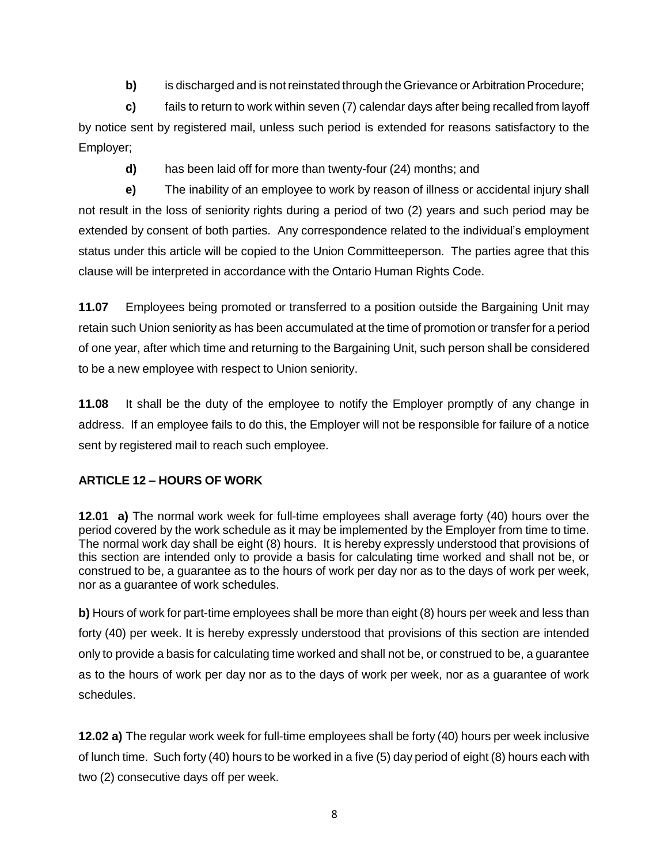**b)** is discharged and is not reinstated through the Grievance or Arbitration Procedure;

**c)** fails to return to work within seven (7) calendar days after being recalled from layoff by notice sent by registered mail, unless such period is extended for reasons satisfactory to the Employer;

**d)** has been laid off for more than twenty-four (24) months; and

**e)** The inability of an employee to work by reason of illness or accidental injury shall not result in the loss of seniority rights during a period of two (2) years and such period may be extended by consent of both parties. Any correspondence related to the individual's employment status under this article will be copied to the Union Committeeperson. The parties agree that this clause will be interpreted in accordance with the Ontario Human Rights Code.

**11.07** Employees being promoted or transferred to a position outside the Bargaining Unit may retain such Union seniority as has been accumulated at the time of promotion or transfer for a period of one year, after which time and returning to the Bargaining Unit, such person shall be considered to be a new employee with respect to Union seniority.

**11.08** It shall be the duty of the employee to notify the Employer promptly of any change in address. If an employee fails to do this, the Employer will not be responsible for failure of a notice sent by registered mail to reach such employee.

# **ARTICLE 12 – HOURS OF WORK**

**12.01 a)** The normal work week for full-time employees shall average forty (40) hours over the period covered by the work schedule as it may be implemented by the Employer from time to time. The normal work day shall be eight (8) hours. It is hereby expressly understood that provisions of this section are intended only to provide a basis for calculating time worked and shall not be, or construed to be, a guarantee as to the hours of work per day nor as to the days of work per week, nor as a guarantee of work schedules.

**b)** Hours of work for part-time employees shall be more than eight (8) hours per week and less than forty (40) per week. It is hereby expressly understood that provisions of this section are intended only to provide a basis for calculating time worked and shall not be, or construed to be, a guarantee as to the hours of work per day nor as to the days of work per week, nor as a guarantee of work schedules.

**12.02 a)** The regular work week for full-time employees shall be forty (40) hours per week inclusive of lunch time. Such forty (40) hours to be worked in a five (5) day period of eight (8) hours each with two (2) consecutive days off per week.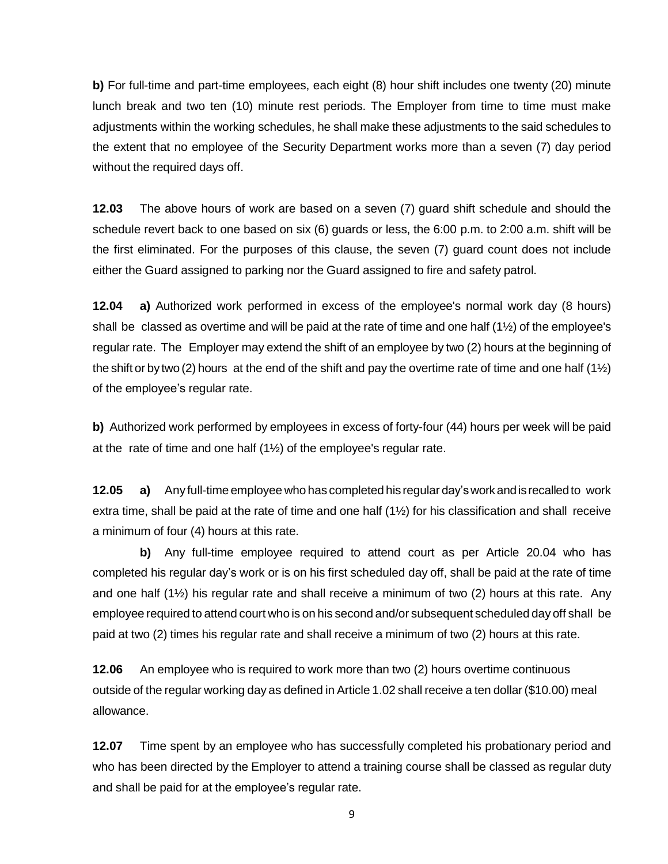**b)** For full-time and part-time employees, each eight (8) hour shift includes one twenty (20) minute lunch break and two ten (10) minute rest periods. The Employer from time to time must make adjustments within the working schedules, he shall make these adjustments to the said schedules to the extent that no employee of the Security Department works more than a seven (7) day period without the required days off.

**12.03** The above hours of work are based on a seven (7) guard shift schedule and should the schedule revert back to one based on six (6) guards or less, the 6:00 p.m. to 2:00 a.m. shift will be the first eliminated. For the purposes of this clause, the seven (7) guard count does not include either the Guard assigned to parking nor the Guard assigned to fire and safety patrol.

**12.04 a)** Authorized work performed in excess of the employee's normal work day (8 hours) shall be classed as overtime and will be paid at the rate of time and one half  $(1\frac{1}{2})$  of the employee's regular rate. The Employer may extend the shift of an employee by two (2) hours at the beginning of the shift or by two (2) hours at the end of the shift and pay the overtime rate of time and one half  $(1/2)$ of the employee's regular rate.

**b)** Authorized work performed by employees in excess of forty-four (44) hours per week will be paid at the rate of time and one half  $(1\frac{1}{2})$  of the employee's regular rate.

**12.05 a)** Any full-time employee who has completed his regular day'sworkandis recalledto work extra time, shall be paid at the rate of time and one half (1½) for his classification and shall receive a minimum of four (4) hours at this rate.

**b)** Any full-time employee required to attend court as per Article 20.04 who has completed his regular day's work or is on his first scheduled day off, shall be paid at the rate of time and one half (1½) his regular rate and shall receive a minimum of two (2) hours at this rate. Any employee required to attend court who is on his second and/or subsequent scheduled day off shall be paid at two (2) times his regular rate and shall receive a minimum of two (2) hours at this rate.

**12.06** An employee who is required to work more than two (2) hours overtime continuous outside of the regular working day as defined in Article 1.02 shall receive a ten dollar (\$10.00) meal allowance.

**12.07** Time spent by an employee who has successfully completed his probationary period and who has been directed by the Employer to attend a training course shall be classed as regular duty and shall be paid for at the employee's regular rate.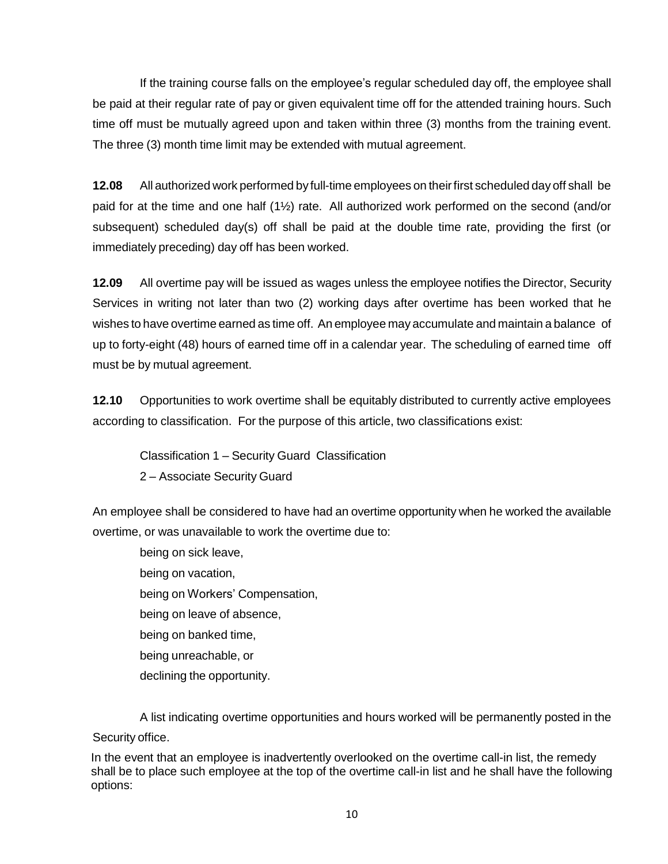If the training course falls on the employee's regular scheduled day off, the employee shall be paid at their regular rate of pay or given equivalent time off for the attended training hours. Such time off must be mutually agreed upon and taken within three (3) months from the training event. The three (3) month time limit may be extended with mutual agreement.

**12.08** All authorized work performed by full-time employees on theirfirst scheduled day off shall be paid for at the time and one half (1½) rate. All authorized work performed on the second (and/or subsequent) scheduled day(s) off shall be paid at the double time rate, providing the first (or immediately preceding) day off has been worked.

**12.09** All overtime pay will be issued as wages unless the employee notifies the Director, Security Services in writing not later than two (2) working days after overtime has been worked that he wishes to have overtime earned as time off. An employee may accumulate and maintain a balance of up to forty-eight (48) hours of earned time off in a calendar year. The scheduling of earned time off must be by mutual agreement.

**12.10** Opportunities to work overtime shall be equitably distributed to currently active employees according to classification. For the purpose of this article, two classifications exist:

Classification 1 – Security Guard Classification 2 – Associate Security Guard

An employee shall be considered to have had an overtime opportunity when he worked the available overtime, or was unavailable to work the overtime due to:

being on sick leave, being on vacation, being on Workers' Compensation, being on leave of absence, being on banked time, being unreachable, or declining the opportunity.

A list indicating overtime opportunities and hours worked will be permanently posted in the Security office.

In the event that an employee is inadvertently overlooked on the overtime call-in list, the remedy shall be to place such employee at the top of the overtime call-in list and he shall have the following options: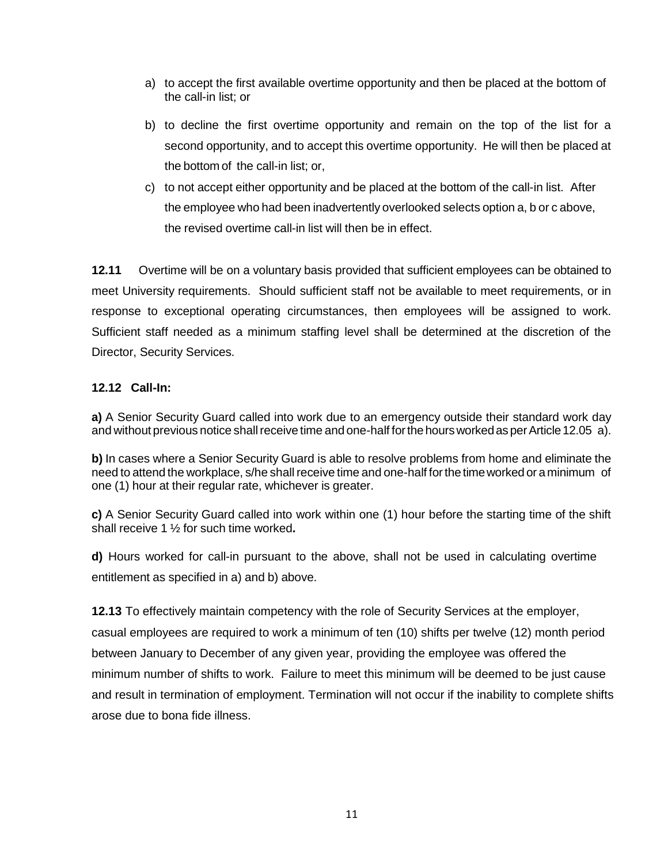- a) to accept the first available overtime opportunity and then be placed at the bottom of the call-in list; or
- b) to decline the first overtime opportunity and remain on the top of the list for a second opportunity, and to accept this overtime opportunity. He will then be placed at the bottom of the call-in list; or,
- c) to not accept either opportunity and be placed at the bottom of the call-in list. After the employee who had been inadvertently overlooked selects option a, b or c above, the revised overtime call-in list will then be in effect.

**12.11** Overtime will be on a voluntary basis provided that sufficient employees can be obtained to meet University requirements. Should sufficient staff not be available to meet requirements, or in response to exceptional operating circumstances, then employees will be assigned to work. Sufficient staff needed as a minimum staffing level shall be determined at the discretion of the Director, Security Services.

## **12.12 Call-In:**

**a)** A Senior Security Guard called into work due to an emergency outside their standard work day and without previous notice shall receive time and one-half for the hours worked as per Article 12.05 a).

**b)** In cases where a Senior Security Guard is able to resolve problems from home and eliminate the need to attend the workplace, s/he shall receive time and one-half forthe timeworked or a minimum of one (1) hour at their regular rate, whichever is greater.

**c)** A Senior Security Guard called into work within one (1) hour before the starting time of the shift shall receive 1 ½ for such time worked**.**

**d)** Hours worked for call-in pursuant to the above, shall not be used in calculating overtime entitlement as specified in a) and b) above.

**12.13** To effectively maintain competency with the role of Security Services at the employer, casual employees are required to work a minimum of ten (10) shifts per twelve (12) month period between January to December of any given year, providing the employee was offered the minimum number of shifts to work. Failure to meet this minimum will be deemed to be just cause and result in termination of employment. Termination will not occur if the inability to complete shifts arose due to bona fide illness.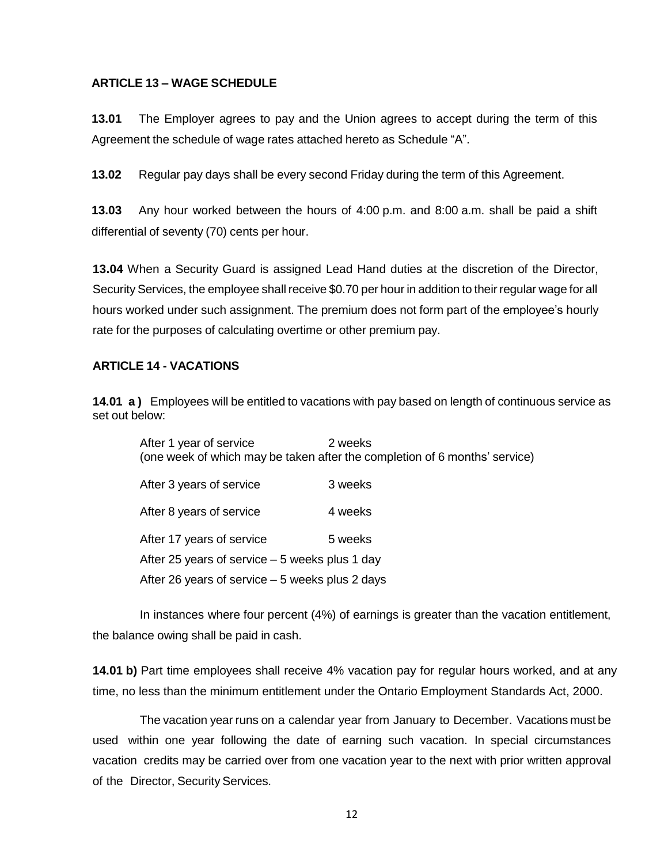## **ARTICLE 13 – WAGE SCHEDULE**

**13.01** The Employer agrees to pay and the Union agrees to accept during the term of this Agreement the schedule of wage rates attached hereto as Schedule "A".

**13.02** Regular pay days shall be every second Friday during the term of this Agreement.

**13.03** Any hour worked between the hours of 4:00 p.m. and 8:00 a.m. shall be paid a shift differential of seventy (70) cents per hour.

**13.04** When a Security Guard is assigned Lead Hand duties at the discretion of the Director, Security Services, the employee shall receive \$0.70 per hour in addition to their regular wage for all hours worked under such assignment. The premium does not form part of the employee's hourly rate for the purposes of calculating overtime or other premium pay.

#### **ARTICLE 14 - VACATIONS**

**14.01 a )** Employees will be entitled to vacations with pay based on length of continuous service as set out below:

| After 1 year of service                         | 2 weeks<br>(one week of which may be taken after the completion of 6 months' service) |
|-------------------------------------------------|---------------------------------------------------------------------------------------|
| After 3 years of service                        | 3 weeks                                                                               |
| After 8 years of service                        | 4 weeks                                                                               |
| After 17 years of service                       | 5 weeks                                                                               |
| After 25 years of service $-5$ weeks plus 1 day |                                                                                       |
| After 26 years of service – 5 weeks plus 2 days |                                                                                       |

In instances where four percent (4%) of earnings is greater than the vacation entitlement, the balance owing shall be paid in cash.

**14.01 b)** Part time employees shall receive 4% vacation pay for regular hours worked, and at any time, no less than the minimum entitlement under the Ontario Employment Standards Act, 2000.

The vacation year runs on a calendar year from January to December. Vacations must be used within one year following the date of earning such vacation. In special circumstances vacation credits may be carried over from one vacation year to the next with prior written approval of the Director, Security Services.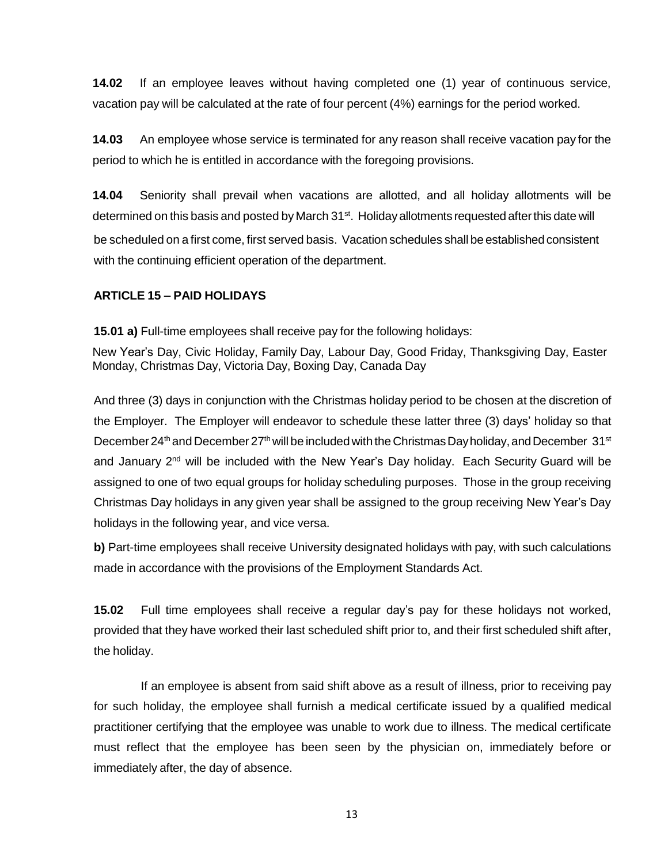**14.02** If an employee leaves without having completed one (1) year of continuous service, vacation pay will be calculated at the rate of four percent (4%) earnings for the period worked.

**14.03** An employee whose service is terminated for any reason shall receive vacation pay for the period to which he is entitled in accordance with the foregoing provisions.

**14.04** Seniority shall prevail when vacations are allotted, and all holiday allotments will be determined on this basis and posted by March 31<sup>st</sup>. Holiday allotments requested after this date will be scheduled on a first come, first served basis. Vacation schedules shall be established consistent with the continuing efficient operation of the department.

## **ARTICLE 15 – PAID HOLIDAYS**

**15.01 a)** Full-time employees shall receive pay for the following holidays:

New Year's Day, Civic Holiday, Family Day, Labour Day, Good Friday, Thanksgiving Day, Easter Monday, Christmas Day, Victoria Day, Boxing Day, Canada Day

And three (3) days in conjunction with the Christmas holiday period to be chosen at the discretion of the Employer. The Employer will endeavor to schedule these latter three (3) days' holiday so that December 24<sup>th</sup> and December 27<sup>th</sup> will be included with the Christmas Day holiday, and December 31<sup>st</sup> and January 2<sup>nd</sup> will be included with the New Year's Day holiday. Each Security Guard will be assigned to one of two equal groups for holiday scheduling purposes. Those in the group receiving Christmas Day holidays in any given year shall be assigned to the group receiving New Year's Day holidays in the following year, and vice versa.

**b)** Part-time employees shall receive University designated holidays with pay, with such calculations made in accordance with the provisions of the Employment Standards Act.

**15.02** Full time employees shall receive a regular day's pay for these holidays not worked, provided that they have worked their last scheduled shift prior to, and their first scheduled shift after, the holiday.

If an employee is absent from said shift above as a result of illness, prior to receiving pay for such holiday, the employee shall furnish a medical certificate issued by a qualified medical practitioner certifying that the employee was unable to work due to illness. The medical certificate must reflect that the employee has been seen by the physician on, immediately before or immediately after, the day of absence.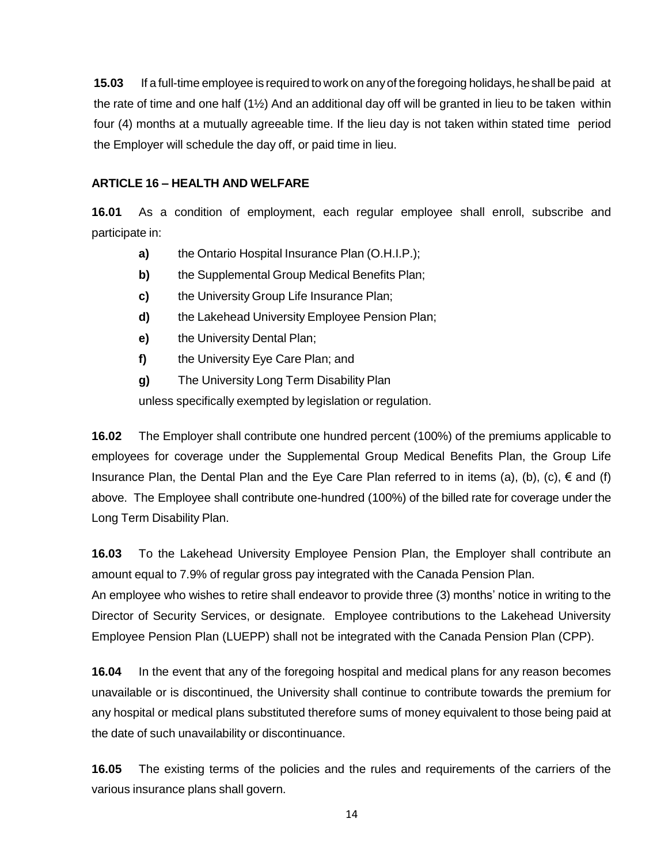**15.03** If a full-time employee is required to work on any of the foregoing holidays, he shall be paid at the rate of time and one half (1½) And an additional day off will be granted in lieu to be taken within four (4) months at a mutually agreeable time. If the lieu day is not taken within stated time period the Employer will schedule the day off, or paid time in lieu.

### **ARTICLE 16 – HEALTH AND WELFARE**

**16.01** As a condition of employment, each regular employee shall enroll, subscribe and participate in:

- **a)** the Ontario Hospital Insurance Plan (O.H.I.P.);
- **b)** the Supplemental Group Medical Benefits Plan;
- **c)** the University Group Life Insurance Plan;
- **d)** the Lakehead University Employee Pension Plan;
- **e)** the University Dental Plan;
- **f)** the University Eye Care Plan; and
- **g)** The University Long Term Disability Plan

unless specifically exempted by legislation or regulation.

**16.02** The Employer shall contribute one hundred percent (100%) of the premiums applicable to employees for coverage under the Supplemental Group Medical Benefits Plan, the Group Life Insurance Plan, the Dental Plan and the Eye Care Plan referred to in items (a), (b), (c),  $\epsilon$  and (f) above. The Employee shall contribute one-hundred (100%) of the billed rate for coverage under the Long Term Disability Plan.

**16.03** To the Lakehead University Employee Pension Plan, the Employer shall contribute an amount equal to 7.9% of regular gross pay integrated with the Canada Pension Plan.

An employee who wishes to retire shall endeavor to provide three (3) months' notice in writing to the Director of Security Services, or designate. Employee contributions to the Lakehead University Employee Pension Plan (LUEPP) shall not be integrated with the Canada Pension Plan (CPP).

**16.04** In the event that any of the foregoing hospital and medical plans for any reason becomes unavailable or is discontinued, the University shall continue to contribute towards the premium for any hospital or medical plans substituted therefore sums of money equivalent to those being paid at the date of such unavailability or discontinuance.

**16.05** The existing terms of the policies and the rules and requirements of the carriers of the various insurance plans shall govern.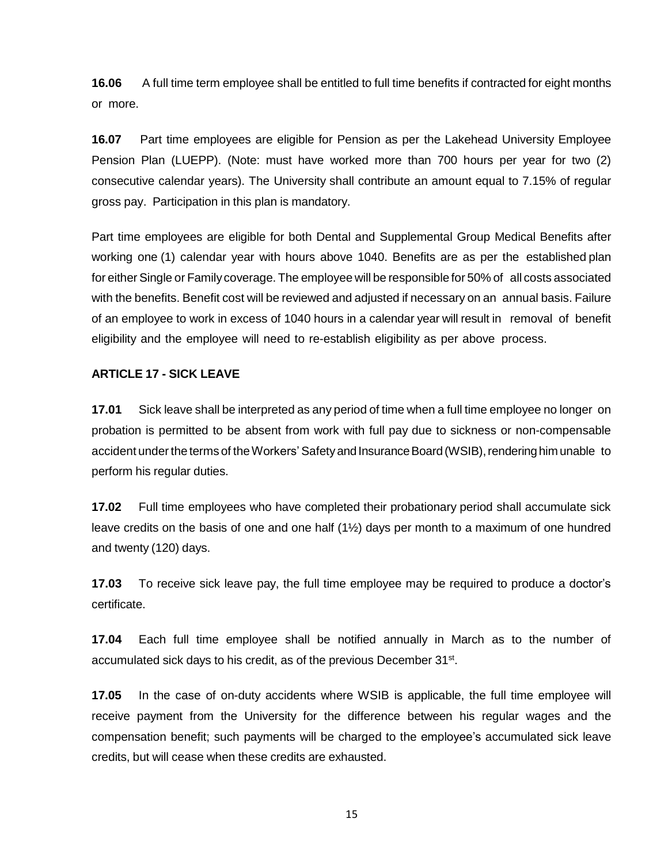**16.06** A full time term employee shall be entitled to full time benefits if contracted for eight months or more.

**16.07** Part time employees are eligible for Pension as per the Lakehead University Employee Pension Plan (LUEPP). (Note: must have worked more than 700 hours per year for two (2) consecutive calendar years). The University shall contribute an amount equal to 7.15% of regular gross pay. Participation in this plan is mandatory.

Part time employees are eligible for both Dental and Supplemental Group Medical Benefits after working one (1) calendar year with hours above 1040. Benefits are as per the established plan for either Single or Family coverage. The employee will be responsible for 50% of all costs associated with the benefits. Benefit cost will be reviewed and adjusted if necessary on an annual basis. Failure of an employee to work in excess of 1040 hours in a calendar year will result in removal of benefit eligibility and the employee will need to re-establish eligibility as per above process.

## **ARTICLE 17 - SICK LEAVE**

**17.01** Sick leave shall be interpreted as any period of time when a full time employee no longer on probation is permitted to be absent from work with full pay due to sickness or non-compensable accident under the terms of the Workers' Safety and Insurance Board (WSIB), rendering him unable to perform his regular duties.

**17.02** Full time employees who have completed their probationary period shall accumulate sick leave credits on the basis of one and one half (1½) days per month to a maximum of one hundred and twenty (120) days.

**17.03** To receive sick leave pay, the full time employee may be required to produce a doctor's certificate.

**17.04** Each full time employee shall be notified annually in March as to the number of accumulated sick days to his credit, as of the previous December 31<sup>st</sup>.

**17.05** In the case of on-duty accidents where WSIB is applicable, the full time employee will receive payment from the University for the difference between his regular wages and the compensation benefit; such payments will be charged to the employee's accumulated sick leave credits, but will cease when these credits are exhausted.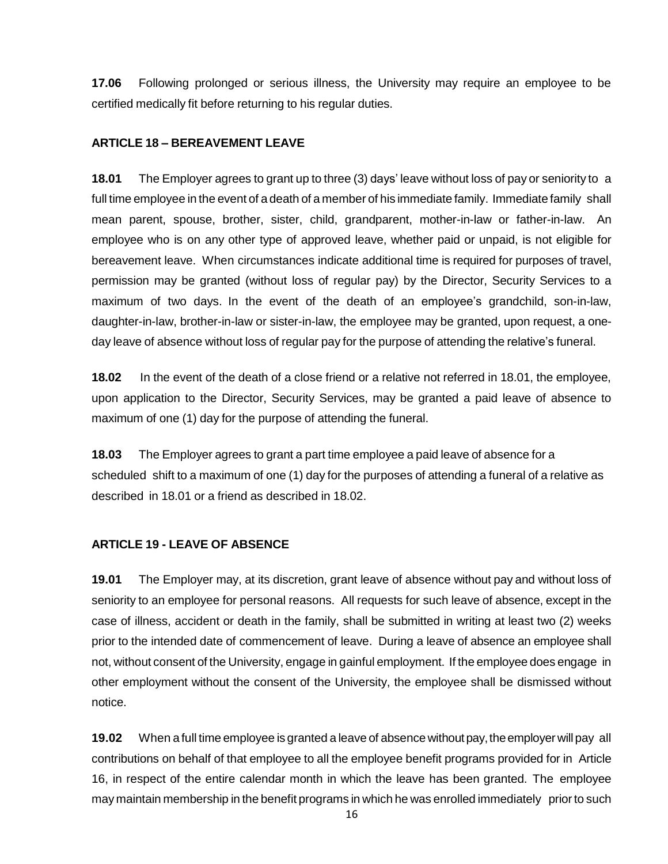**17.06** Following prolonged or serious illness, the University may require an employee to be certified medically fit before returning to his regular duties.

## **ARTICLE 18 – BEREAVEMENT LEAVE**

**18.01** The Employer agrees to grant up to three (3) days' leave without loss of pay or seniority to a full time employee in the event of a death of a member of his immediate family. Immediate family shall mean parent, spouse, brother, sister, child, grandparent, mother-in-law or father-in-law. An employee who is on any other type of approved leave, whether paid or unpaid, is not eligible for bereavement leave. When circumstances indicate additional time is required for purposes of travel, permission may be granted (without loss of regular pay) by the Director, Security Services to a maximum of two days. In the event of the death of an employee's grandchild, son-in-law, daughter-in-law, brother-in-law or sister-in-law, the employee may be granted, upon request, a oneday leave of absence without loss of regular pay for the purpose of attending the relative's funeral.

**18.02** In the event of the death of a close friend or a relative not referred in 18.01, the employee, upon application to the Director, Security Services, may be granted a paid leave of absence to maximum of one (1) day for the purpose of attending the funeral.

**18.03** The Employer agrees to grant a part time employee a paid leave of absence for a scheduled shift to a maximum of one (1) day for the purposes of attending a funeral of a relative as described in 18.01 or a friend as described in 18.02.

## **ARTICLE 19 - LEAVE OF ABSENCE**

**19.01** The Employer may, at its discretion, grant leave of absence without pay and without loss of seniority to an employee for personal reasons. All requests for such leave of absence, except in the case of illness, accident or death in the family, shall be submitted in writing at least two (2) weeks prior to the intended date of commencement of leave. During a leave of absence an employee shall not, without consent of the University, engage in gainful employment. If the employee does engage in other employment without the consent of the University, the employee shall be dismissed without notice.

**19.02** When a full time employee is granted a leave of absence without pay, the employer will pay all contributions on behalf of that employee to all the employee benefit programs provided for in Article 16, in respect of the entire calendar month in which the leave has been granted. The employee may maintain membership in the benefit programs in which he was enrolled immediately priorto such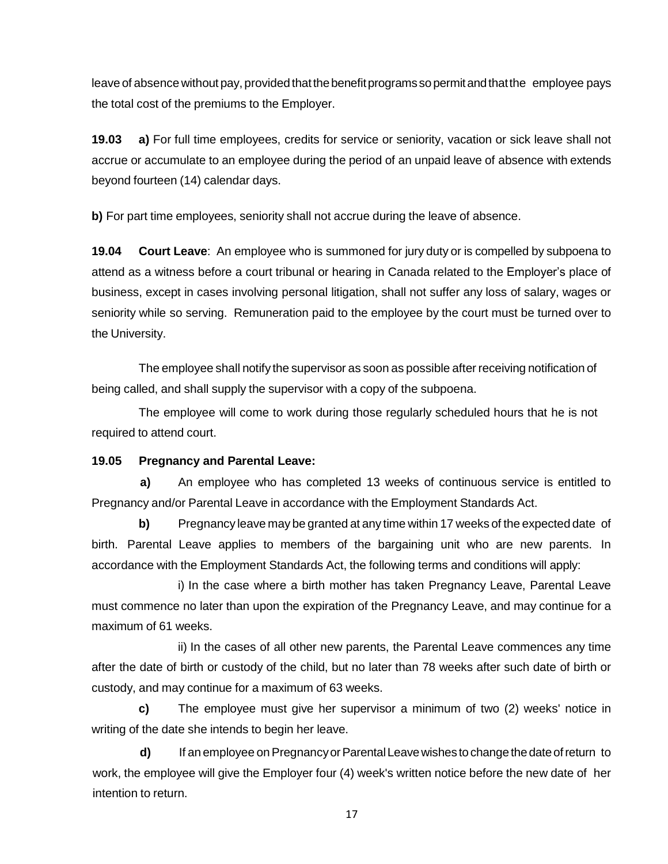leave of absence without pay, provided that the benefit programs so permit and that the employee pays the total cost of the premiums to the Employer.

**19.03 a)** For full time employees, credits for service or seniority, vacation or sick leave shall not accrue or accumulate to an employee during the period of an unpaid leave of absence with extends beyond fourteen (14) calendar days.

**b)** For part time employees, seniority shall not accrue during the leave of absence.

**19.04 Court Leave**: An employee who is summoned for jury duty or is compelled by subpoena to attend as a witness before a court tribunal or hearing in Canada related to the Employer's place of business, except in cases involving personal litigation, shall not suffer any loss of salary, wages or seniority while so serving. Remuneration paid to the employee by the court must be turned over to the University.

The employee shall notify the supervisor as soon as possible after receiving notification of being called, and shall supply the supervisor with a copy of the subpoena.

The employee will come to work during those regularly scheduled hours that he is not required to attend court.

# **19.05 Pregnancy and Parental Leave:**

**a)** An employee who has completed 13 weeks of continuous service is entitled to Pregnancy and/or Parental Leave in accordance with the Employment Standards Act.

**b)** Pregnancy leave may be granted at any time within 17 weeks of the expected date of birth. Parental Leave applies to members of the bargaining unit who are new parents. In accordance with the Employment Standards Act, the following terms and conditions will apply:

i) In the case where a birth mother has taken Pregnancy Leave, Parental Leave must commence no later than upon the expiration of the Pregnancy Leave, and may continue for a maximum of 61 weeks.

ii) In the cases of all other new parents, the Parental Leave commences any time after the date of birth or custody of the child, but no later than 78 weeks after such date of birth or custody, and may continue for a maximum of 63 weeks.

**c)** The employee must give her supervisor a minimum of two (2) weeks' notice in writing of the date she intends to begin her leave.

**d)** If an employee on Pregnancy or Parental Leave wishes to change the date of return to work, the employee will give the Employer four (4) week's written notice before the new date of her intention to return.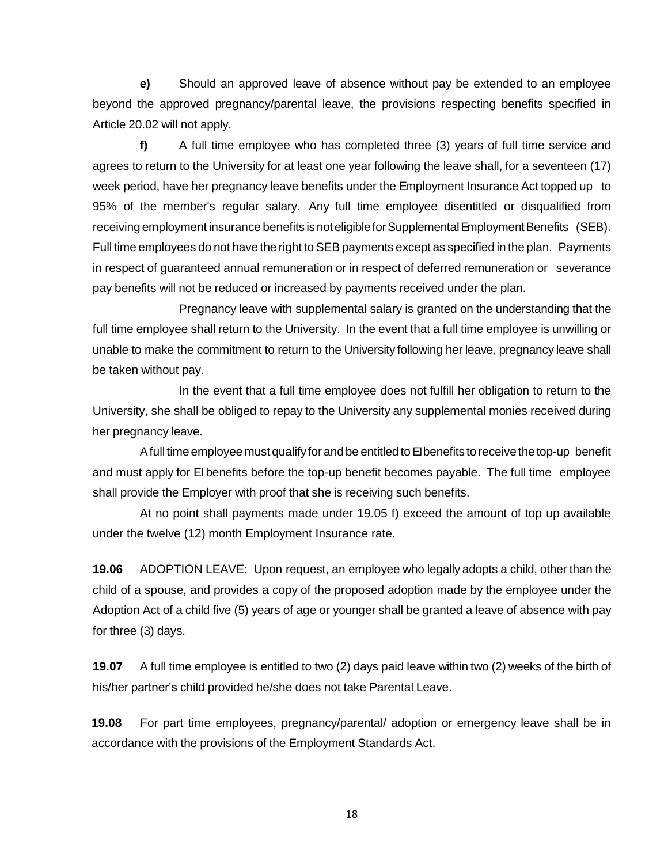**e)** Should an approved leave of absence without pay be extended to an employee beyond the approved pregnancy/parental leave, the provisions respecting benefits specified in Article 20.02 will not apply.

**f)** A full time employee who has completed three (3) years of full time service and agrees to return to the University for at least one year following the leave shall, for a seventeen (17) week period, have her pregnancy leave benefits under the Employment Insurance Act topped up to 95% of the member's regular salary. Any full time employee disentitled or disqualified from receiving employment insurance benefits is not eligible for Supplemental Employment Benefits (SEB). Full time employees do not have the right to SEB payments except as specified in the plan. Payments in respect of guaranteed annual remuneration or in respect of deferred remuneration or severance pay benefits will not be reduced or increased by payments received under the plan.

Pregnancy leave with supplemental salary is granted on the understanding that the full time employee shall return to the University. In the event that a full time employee is unwilling or unable to make the commitment to return to the University following her leave, pregnancy leave shall be taken without pay.

In the event that a full time employee does not fulfill her obligation to return to the University, she shall be obliged to repay to the University any supplemental monies received during her pregnancy leave.

A full time employee must qualify for and be entitled to Elbenefits to receive the top-up benefit and must apply for EI benefits before the top-up benefit becomes payable. The full time employee shall provide the Employer with proof that she is receiving such benefits.

At no point shall payments made under 19.05 f) exceed the amount of top up available under the twelve (12) month Employment Insurance rate.

**19.06** ADOPTION LEAVE: Upon request, an employee who legally adopts a child, other than the child of a spouse, and provides a copy of the proposed adoption made by the employee under the Adoption Act of a child five (5) years of age or younger shall be granted a leave of absence with pay for three (3) days.

**19.07** A full time employee is entitled to two (2) days paid leave within two (2) weeks of the birth of his/her partner's child provided he/she does not take Parental Leave.

**19.08** For part time employees, pregnancy/parental/ adoption or emergency leave shall be in accordance with the provisions of the Employment Standards Act.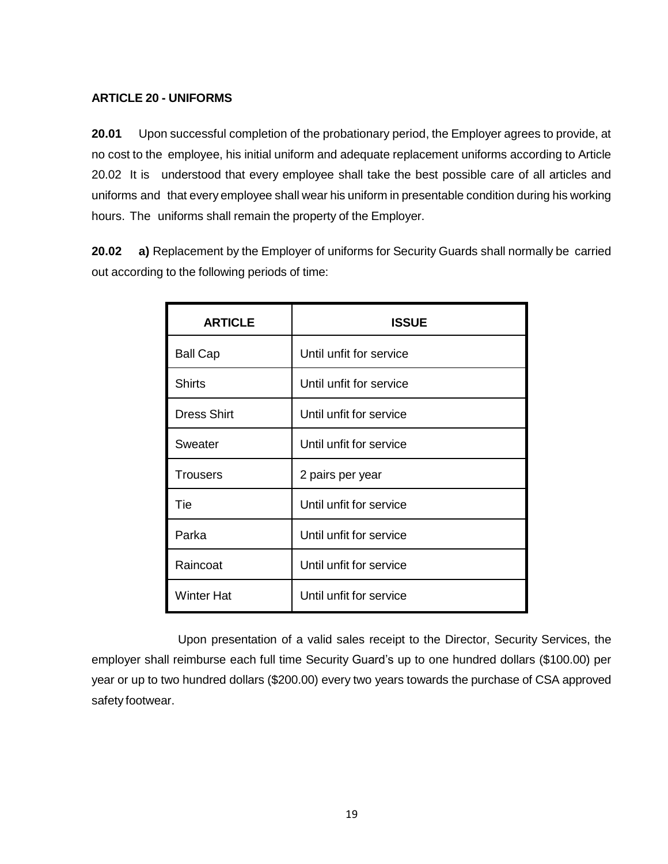### **ARTICLE 20 - UNIFORMS**

**20.01** Upon successful completion of the probationary period, the Employer agrees to provide, at no cost to the employee, his initial uniform and adequate replacement uniforms according to Article 20.02 It is understood that every employee shall take the best possible care of all articles and uniforms and that every employee shall wear his uniform in presentable condition during his working hours. The uniforms shall remain the property of the Employer.

**20.02 a)** Replacement by the Employer of uniforms for Security Guards shall normally be carried out according to the following periods of time:

| <b>ARTICLE</b>     | <b>ISSUE</b>            |  |  |
|--------------------|-------------------------|--|--|
| <b>Ball Cap</b>    | Until unfit for service |  |  |
| <b>Shirts</b>      | Until unfit for service |  |  |
| <b>Dress Shirt</b> | Until unfit for service |  |  |
| Sweater            | Until unfit for service |  |  |
| <b>Trousers</b>    | 2 pairs per year        |  |  |
| Tie                | Until unfit for service |  |  |
| Parka              | Until unfit for service |  |  |
| Raincoat           | Until unfit for service |  |  |
| <b>Winter Hat</b>  | Until unfit for service |  |  |

Upon presentation of a valid sales receipt to the Director, Security Services, the employer shall reimburse each full time Security Guard's up to one hundred dollars (\$100.00) per year or up to two hundred dollars (\$200.00) every two years towards the purchase of CSA approved safety footwear.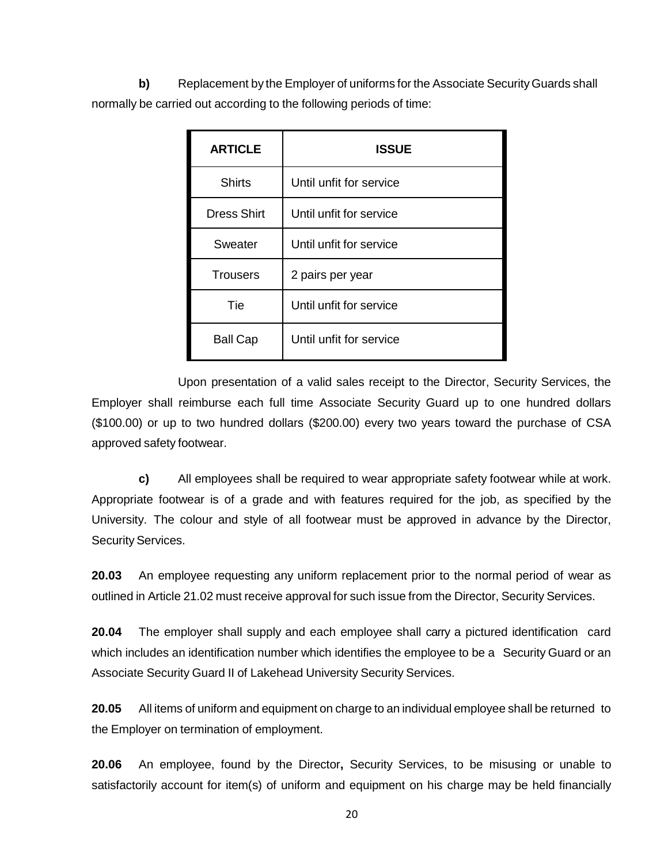**b)** Replacement by the Employer of uniforms for the Associate Security Guards shall normally be carried out according to the following periods of time:

| <b>ARTICLE</b>     | <b>ISSUE</b>            |  |
|--------------------|-------------------------|--|
| <b>Shirts</b>      | Until unfit for service |  |
| <b>Dress Shirt</b> | Until unfit for service |  |
| Sweater            | Until unfit for service |  |
| <b>Trousers</b>    | 2 pairs per year        |  |
| Tie                | Until unfit for service |  |
| <b>Ball Cap</b>    | Until unfit for service |  |

Upon presentation of a valid sales receipt to the Director, Security Services, the Employer shall reimburse each full time Associate Security Guard up to one hundred dollars (\$100.00) or up to two hundred dollars (\$200.00) every two years toward the purchase of CSA approved safety footwear.

**c)** All employees shall be required to wear appropriate safety footwear while at work. Appropriate footwear is of a grade and with features required for the job, as specified by the University. The colour and style of all footwear must be approved in advance by the Director, Security Services.

**20.03** An employee requesting any uniform replacement prior to the normal period of wear as outlined in Article 21.02 must receive approval for such issue from the Director, Security Services.

**20.04** The employer shall supply and each employee shall carry a pictured identification card which includes an identification number which identifies the employee to be a Security Guard or an Associate Security Guard II of Lakehead University Security Services.

**20.05** All items of uniform and equipment on charge to an individual employee shall be returned to the Employer on termination of employment.

**20.06** An employee, found by the Director**,** Security Services, to be misusing or unable to satisfactorily account for item(s) of uniform and equipment on his charge may be held financially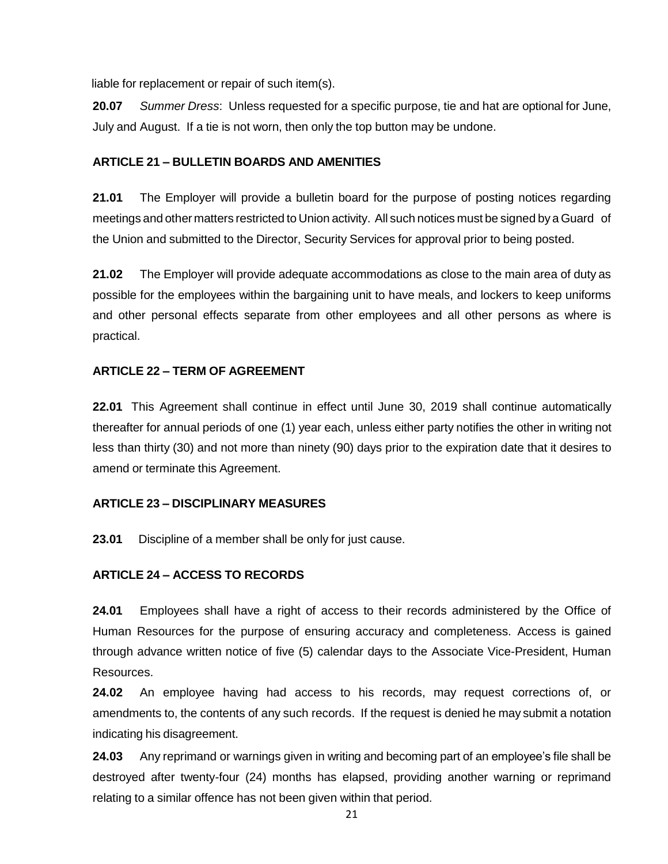liable for replacement or repair of such item(s).

**20.07** *Summer Dress*: Unless requested for a specific purpose, tie and hat are optional for June, July and August. If a tie is not worn, then only the top button may be undone.

## **ARTICLE 21 – BULLETIN BOARDS AND AMENITIES**

**21.01** The Employer will provide a bulletin board for the purpose of posting notices regarding meetings and other matters restricted to Union activity. All such notices must be signed by a Guard of the Union and submitted to the Director, Security Services for approval prior to being posted.

**21.02** The Employer will provide adequate accommodations as close to the main area of duty as possible for the employees within the bargaining unit to have meals, and lockers to keep uniforms and other personal effects separate from other employees and all other persons as where is practical.

## **ARTICLE 22 – TERM OF AGREEMENT**

**22.01** This Agreement shall continue in effect until June 30, 2019 shall continue automatically thereafter for annual periods of one (1) year each, unless either party notifies the other in writing not less than thirty (30) and not more than ninety (90) days prior to the expiration date that it desires to amend or terminate this Agreement.

# **ARTICLE 23 – DISCIPLINARY MEASURES**

**23.01** Discipline of a member shall be only for just cause.

# **ARTICLE 24 – ACCESS TO RECORDS**

**24.01** Employees shall have a right of access to their records administered by the Office of Human Resources for the purpose of ensuring accuracy and completeness. Access is gained through advance written notice of five (5) calendar days to the Associate Vice-President, Human Resources.

**24.02** An employee having had access to his records, may request corrections of, or amendments to, the contents of any such records. If the request is denied he may submit a notation indicating his disagreement.

**24.03** Any reprimand or warnings given in writing and becoming part of an employee's file shall be destroyed after twenty-four (24) months has elapsed, providing another warning or reprimand relating to a similar offence has not been given within that period.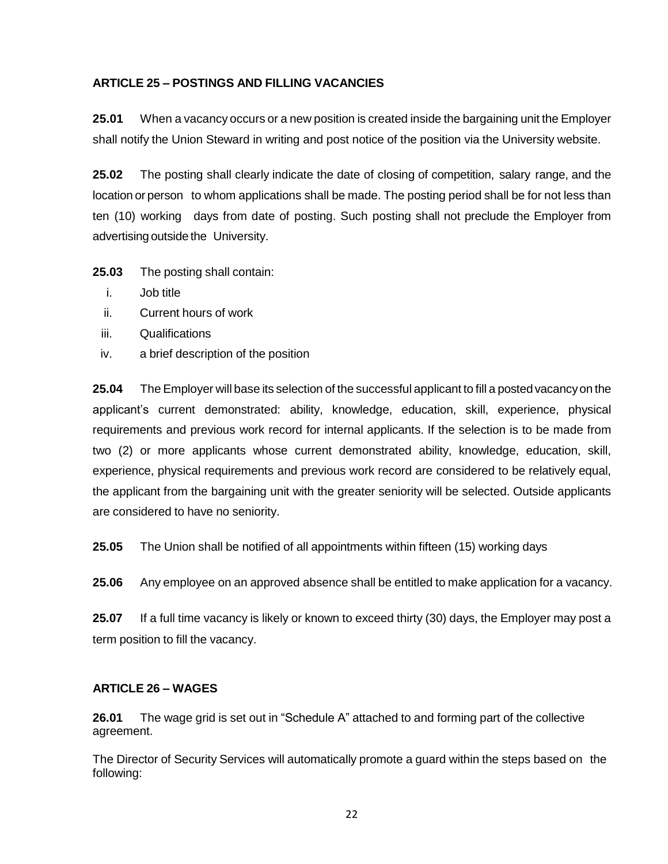## **ARTICLE 25 – POSTINGS AND FILLING VACANCIES**

**25.01** When a vacancy occurs or a new position is created inside the bargaining unit the Employer shall notify the Union Steward in writing and post notice of the position via the University website.

**25.02** The posting shall clearly indicate the date of closing of competition, salary range, and the location or person to whom applications shall be made. The posting period shall be for not less than ten (10) working days from date of posting. Such posting shall not preclude the Employer from advertising outside the University.

**25.03** The posting shall contain:

- i. Job title
- ii. Current hours of work
- iii. Qualifications
- iv. a brief description of the position

**25.04** The Employer will base its selection of the successful applicant to fill a posted vacancyon the applicant's current demonstrated: ability, knowledge, education, skill, experience, physical requirements and previous work record for internal applicants. If the selection is to be made from two (2) or more applicants whose current demonstrated ability, knowledge, education, skill, experience, physical requirements and previous work record are considered to be relatively equal, the applicant from the bargaining unit with the greater seniority will be selected. Outside applicants are considered to have no seniority.

**25.05** The Union shall be notified of all appointments within fifteen (15) working days

**25.06** Any employee on an approved absence shall be entitled to make application for a vacancy.

**25.07** If a full time vacancy is likely or known to exceed thirty (30) days, the Employer may post a term position to fill the vacancy.

#### **ARTICLE 26 – WAGES**

**26.01** The wage grid is set out in "Schedule A" attached to and forming part of the collective agreement.

The Director of Security Services will automatically promote a guard within the steps based on the following: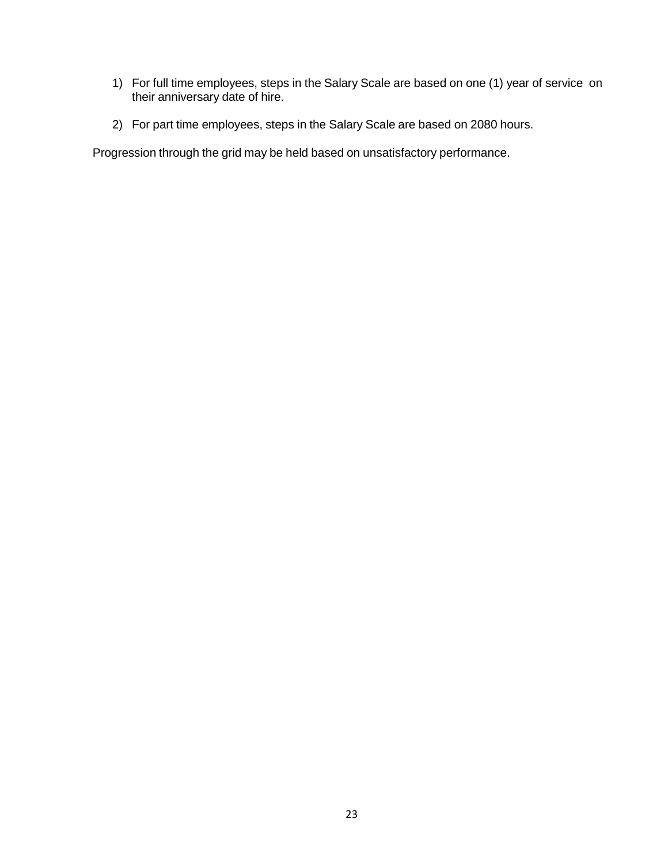- 1) For full time employees, steps in the Salary Scale are based on one (1) year of service on their anniversary date of hire.
- 2) For part time employees, steps in the Salary Scale are based on 2080 hours.

Progression through the grid may be held based on unsatisfactory performance.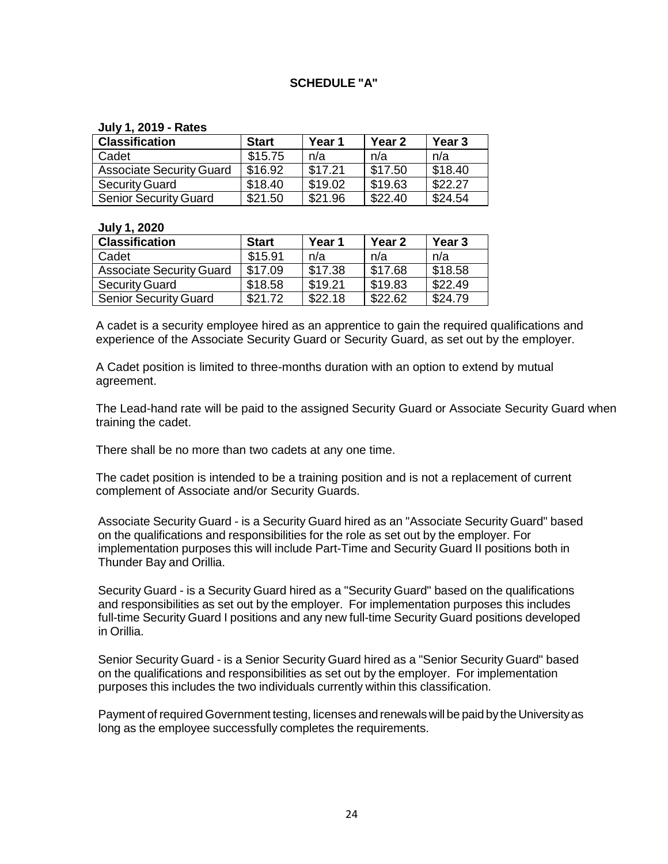## **SCHEDULE "A"**

#### **July 1, 2019 - Rates**

| <b>Classification</b>           | <b>Start</b> | Year 1  | Year <sub>2</sub> | Year <sub>3</sub> |
|---------------------------------|--------------|---------|-------------------|-------------------|
| Cadet                           | \$15.75      | n/a     | n/a               | n/a               |
| <b>Associate Security Guard</b> | \$16.92      | \$17.21 | \$17.50           | \$18.40           |
| <b>Security Guard</b>           | \$18.40      | \$19.02 | \$19.63           | \$22.27           |
| <b>Senior Security Guard</b>    | \$21.50      | \$21.96 | \$22.40           | \$24.54           |

#### **July 1, 2020**

| <b>Classification</b>           | <b>Start</b> | Year 1  | Year <sub>2</sub> | Year <sub>3</sub> |
|---------------------------------|--------------|---------|-------------------|-------------------|
| Cadet                           | \$15.91      | n/a     | n/a               | n/a               |
| <b>Associate Security Guard</b> | \$17.09      | \$17.38 | \$17.68           | \$18.58           |
| <b>Security Guard</b>           | \$18.58      | \$19.21 | \$19.83           | \$22.49           |
| <b>Senior Security Guard</b>    | \$21.72      | \$22.18 | \$22.62           | \$24.79           |

A cadet is a security employee hired as an apprentice to gain the required qualifications and experience of the Associate Security Guard or Security Guard, as set out by the employer.

A Cadet position is limited to three-months duration with an option to extend by mutual agreement.

The Lead-hand rate will be paid to the assigned Security Guard or Associate Security Guard when training the cadet.

There shall be no more than two cadets at any one time.

The cadet position is intended to be a training position and is not a replacement of current complement of Associate and/or Security Guards.

Associate Security Guard - is a Security Guard hired as an "Associate Security Guard" based on the qualifications and responsibilities for the role as set out by the employer. For implementation purposes this will include Part-Time and Security Guard II positions both in Thunder Bay and Orillia.

Security Guard - is a Security Guard hired as a "Security Guard" based on the qualifications and responsibilities as set out by the employer. For implementation purposes this includes full-time Security Guard I positions and any new full-time Security Guard positions developed in Orillia.

Senior Security Guard - is a Senior Security Guard hired as a "Senior Security Guard" based on the qualifications and responsibilities as set out by the employer. For implementation purposes this includes the two individuals currently within this classification.

Payment of required Government testing, licenses and renewals will be paid by the Universityas long as the employee successfully completes the requirements.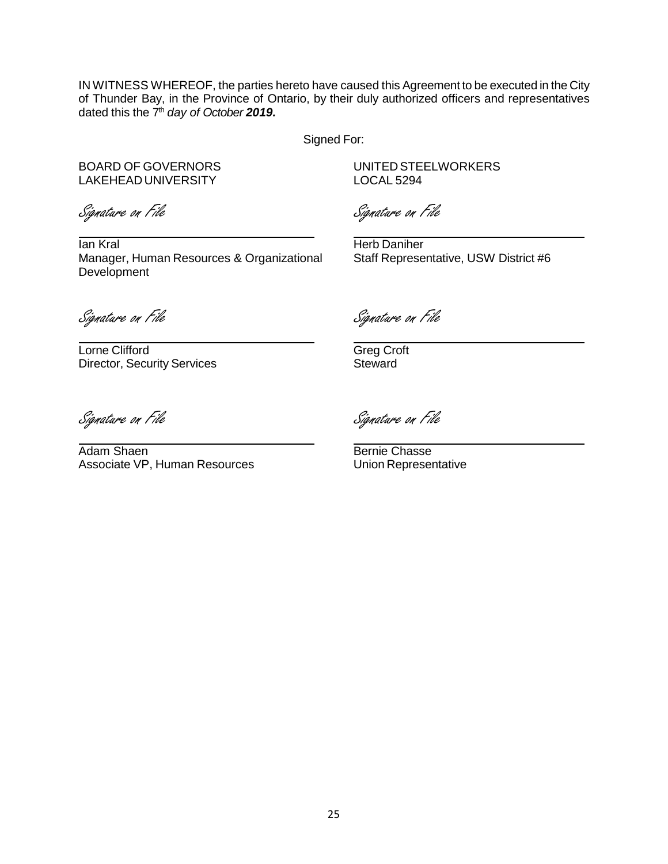IN WITNESS WHEREOF, the parties hereto have caused this Agreement to be executed in the City of Thunder Bay, in the Province of Ontario, by their duly authorized officers and representatives dated this the 7<sup>th</sup> day of October 2019.

Signed For:

LAKEHEAD UNIVERSITY LOCAL 5294

BOARD OF GOVERNORS UNITED STEELWORKERS

Signature on File Signature on File

**Ian Kral Herb Daniher** Herb Daniher Manager, Human Resources & Organizational Staff Representative, USW District #6

Development

Lorne Clifford Greg Croft Director, Security Services Steward

Signature on File Signature on File

Signature on File Signature on File

Adam Shaen Bernie Chasse Associate VP, Human Resources Union Representative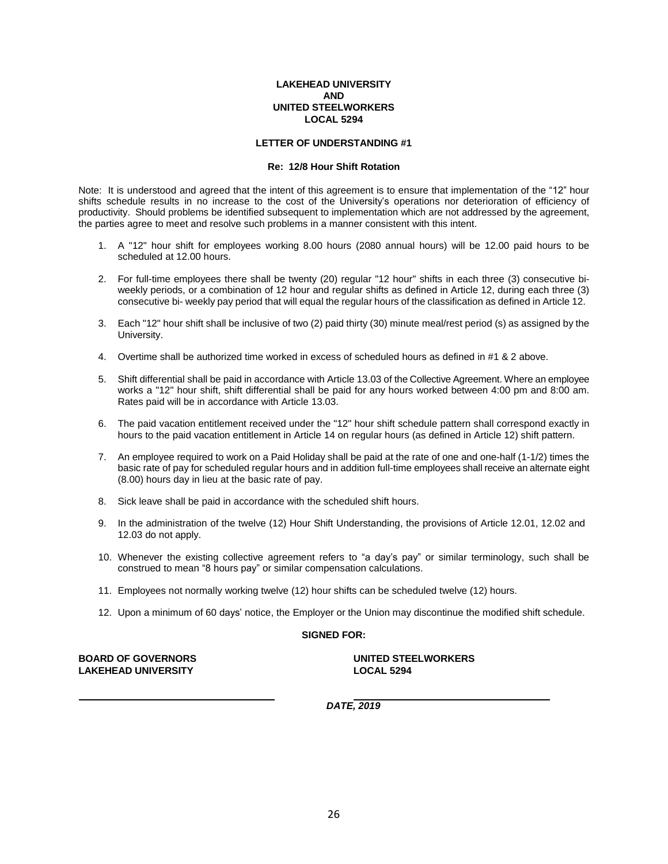#### **LETTER OF UNDERSTANDING #1**

#### **Re: 12/8 Hour Shift Rotation**

Note: It is understood and agreed that the intent of this agreement is to ensure that implementation of the "12" hour shifts schedule results in no increase to the cost of the University's operations nor deterioration of efficiency of productivity. Should problems be identified subsequent to implementation which are not addressed by the agreement, the parties agree to meet and resolve such problems in a manner consistent with this intent.

- 1. A "12" hour shift for employees working 8.00 hours (2080 annual hours) will be 12.00 paid hours to be scheduled at 12.00 hours.
- 2. For full-time employees there shall be twenty (20) regular "12 hour'' shifts in each three (3) consecutive biweekly periods, or a combination of 12 hour and regular shifts as defined in Article 12, during each three (3) consecutive bi- weekly pay period that will equal the regular hours of the classification as defined in Article 12.
- 3. Each "12" hour shift shall be inclusive of two (2) paid thirty (30) minute meal/rest period (s) as assigned by the University.
- 4. Overtime shall be authorized time worked in excess of scheduled hours as defined in #1 & 2 above.
- 5. Shift differential shall be paid in accordance with Article 13.03 of the Collective Agreement. Where an employee works a "12" hour shift, shift differential shall be paid for any hours worked between 4:00 pm and 8:00 am. Rates paid will be in accordance with Article 13.03.
- 6. The paid vacation entitlement received under the "12" hour shift schedule pattern shall correspond exactly in hours to the paid vacation entitlement in Article 14 on regular hours (as defined in Article 12) shift pattern.
- 7. An employee required to work on a Paid Holiday shall be paid at the rate of one and one-half (1-1/2) times the basic rate of pay for scheduled regular hours and in addition full-time employees shall receive an alternate eight (8.00) hours day in lieu at the basic rate of pay.
- 8. Sick leave shall be paid in accordance with the scheduled shift hours.
- 9. In the administration of the twelve (12) Hour Shift Understanding, the provisions of Article 12.01, 12.02 and 12.03 do not apply.
- 10. Whenever the existing collective agreement refers to "a day's pay" or similar terminology, such shall be construed to mean "8 hours pay" or similar compensation calculations.
- 11. Employees not normally working twelve (12) hour shifts can be scheduled twelve (12) hours.
- 12. Upon a minimum of 60 days' notice, the Employer or the Union may discontinue the modified shift schedule.

#### **SIGNED FOR:**

**BOARD OF GOVERNORS UNITED STEELWORKERS LAKEHEAD UNIVERSITY LOCAL 5294**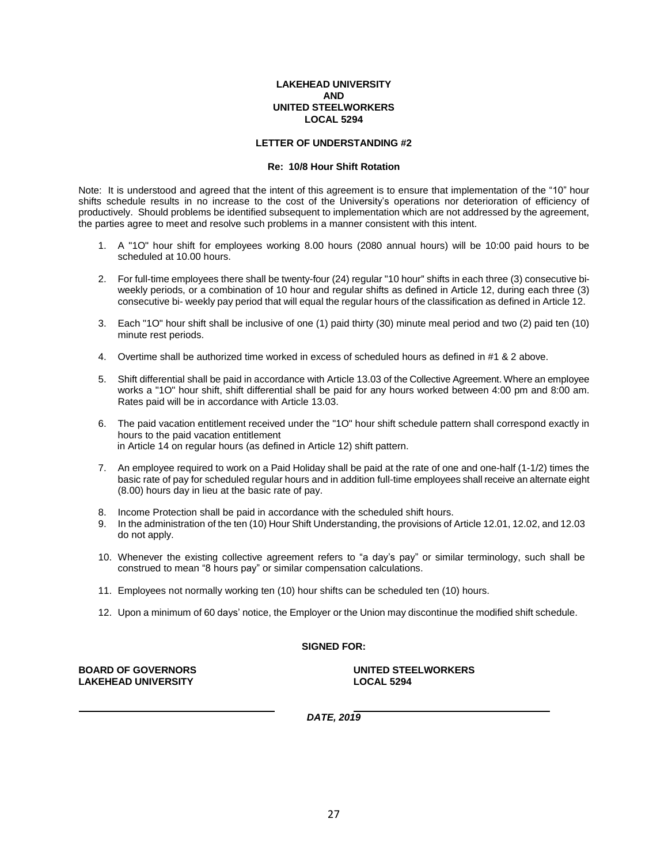#### **LETTER OF UNDERSTANDING #2**

#### **Re: 10/8 Hour Shift Rotation**

Note: It is understood and agreed that the intent of this agreement is to ensure that implementation of the "10" hour shifts schedule results in no increase to the cost of the University's operations nor deterioration of efficiency of productively. Should problems be identified subsequent to implementation which are not addressed by the agreement, the parties agree to meet and resolve such problems in a manner consistent with this intent.

- 1. A "1O" hour shift for employees working 8.00 hours (2080 annual hours) will be 10:00 paid hours to be scheduled at 10.00 hours.
- 2. For full-time employees there shall be twenty-four (24) regular "10 hour'' shifts in each three (3) consecutive biweekly periods, or a combination of 10 hour and regular shifts as defined in Article 12, during each three (3) consecutive bi- weekly pay period that will equal the regular hours of the classification as defined in Article 12.
- 3. Each "1O" hour shift shall be inclusive of one (1) paid thirty (30) minute meal period and two (2) paid ten (10) minute rest periods.
- 4. Overtime shall be authorized time worked in excess of scheduled hours as defined in #1 & 2 above.
- 5. Shift differential shall be paid in accordance with Article 13.03 of the Collective Agreement. Where an employee works a "1O" hour shift, shift differential shall be paid for any hours worked between 4:00 pm and 8:00 am. Rates paid will be in accordance with Article 13.03.
- 6. The paid vacation entitlement received under the "1O" hour shift schedule pattern shall correspond exactly in hours to the paid vacation entitlement in Article 14 on regular hours (as defined in Article 12) shift pattern.
- 7. An employee required to work on a Paid Holiday shall be paid at the rate of one and one-half (1-1/2) times the basic rate of pay for scheduled regular hours and in addition full-time employees shall receive an alternate eight (8.00) hours day in lieu at the basic rate of pay.
- 8. Income Protection shall be paid in accordance with the scheduled shift hours.
- 9. In the administration of the ten (10) Hour Shift Understanding, the provisions of Article 12.01, 12.02, and 12.03 do not apply.
- 10. Whenever the existing collective agreement refers to "a day's pay" or similar terminology, such shall be construed to mean "8 hours pay" or similar compensation calculations.
- 11. Employees not normally working ten (10) hour shifts can be scheduled ten (10) hours.
- 12. Upon a minimum of 60 days' notice, the Employer or the Union may discontinue the modified shift schedule.

#### **SIGNED FOR:**

**BOARD OF GOVERNORS UNITED STEELWORKERS LAKEHEAD UNIVERSITY LOCAL 5294**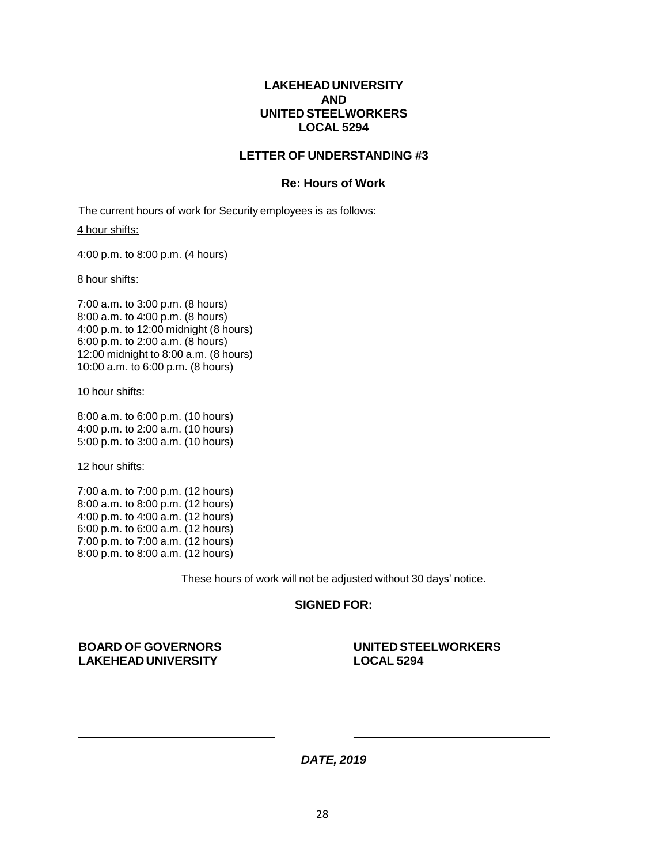### **LETTER OF UNDERSTANDING #3**

#### **Re: Hours of Work**

The current hours of work for Security employees is as follows:

#### 4 hour shifts:

4:00 p.m. to 8:00 p.m. (4 hours)

#### 8 hour shifts:

7:00 a.m. to 3:00 p.m. (8 hours) 8:00 a.m. to 4:00 p.m. (8 hours) 4:00 p.m. to 12:00 midnight (8 hours) 6:00 p.m. to 2:00 a.m. (8 hours) 12:00 midnight to 8:00 a.m. (8 hours) 10:00 a.m. to 6:00 p.m. (8 hours)

#### 10 hour shifts:

8:00 a.m. to 6:00 p.m. (10 hours) 4:00 p.m. to 2:00 a.m. (10 hours) 5:00 p.m. to 3:00 a.m. (10 hours)

12 hour shifts:

7:00 a.m. to 7:00 p.m. (12 hours) 8:00 a.m. to 8:00 p.m. (12 hours) 4:00 p.m. to 4:00 a.m. (12 hours) 6:00 p.m. to 6:00 a.m. (12 hours) 7:00 p.m. to 7:00 a.m. (12 hours) 8:00 p.m. to 8:00 a.m. (12 hours)

These hours of work will not be adjusted without 30 days' notice.

#### **SIGNED FOR:**

**BOARD OF GOVERNORS UNITED STEELWORKERS LAKEHEAD UNIVERSITY LOCAL 5294**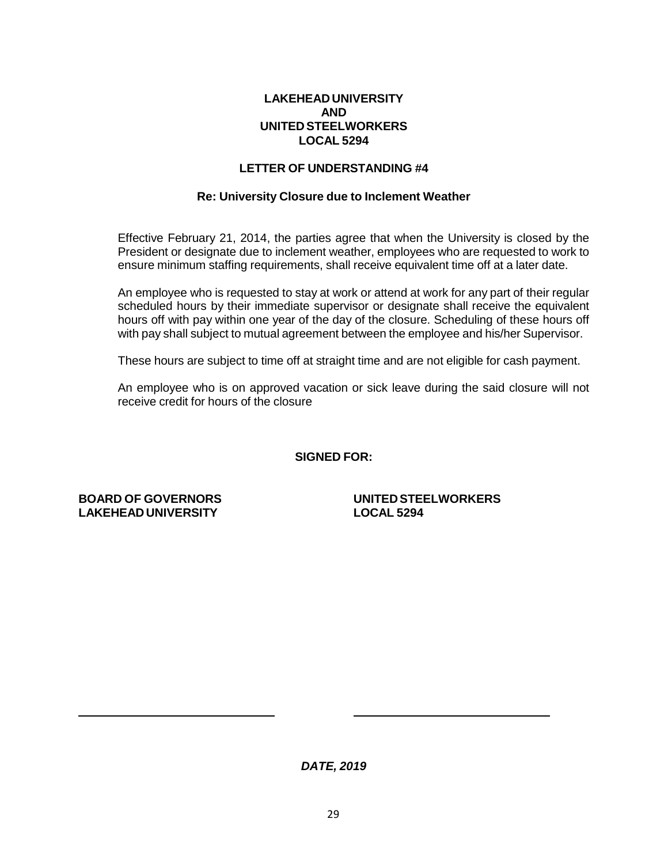## **LETTER OF UNDERSTANDING #4**

#### **Re: University Closure due to Inclement Weather**

Effective February 21, 2014, the parties agree that when the University is closed by the President or designate due to inclement weather, employees who are requested to work to ensure minimum staffing requirements, shall receive equivalent time off at a later date.

An employee who is requested to stay at work or attend at work for any part of their regular scheduled hours by their immediate supervisor or designate shall receive the equivalent hours off with pay within one year of the day of the closure. Scheduling of these hours off with pay shall subject to mutual agreement between the employee and his/her Supervisor.

These hours are subject to time off at straight time and are not eligible for cash payment.

An employee who is on approved vacation or sick leave during the said closure will not receive credit for hours of the closure

**SIGNED FOR:**

**LAKEHEAD UNIVERSITY LOCAL 5294**

**BOARD OF GOVERNORS UNITED STEELWORKERS**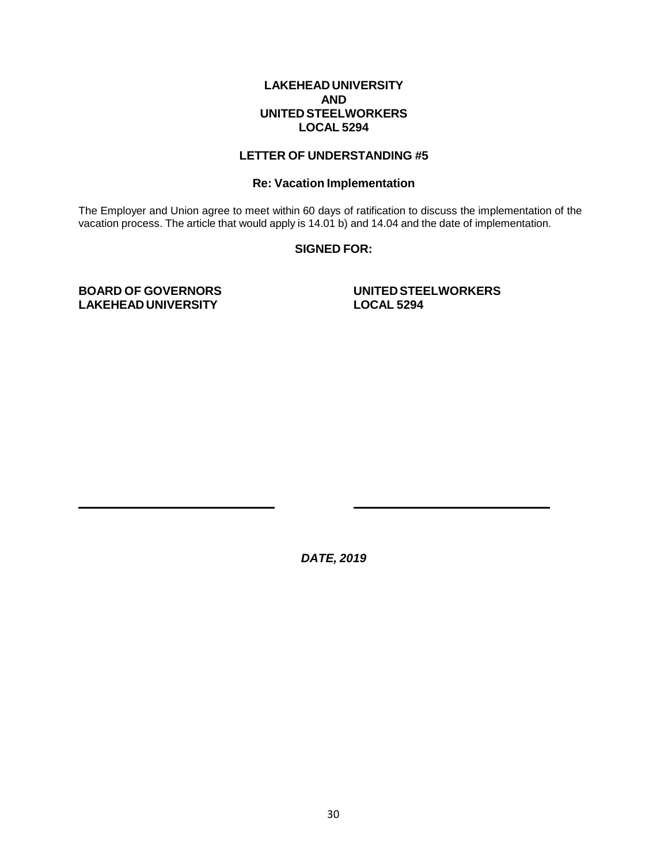## **LETTER OF UNDERSTANDING #5**

#### **Re: Vacation Implementation**

The Employer and Union agree to meet within 60 days of ratification to discuss the implementation of the vacation process. The article that would apply is 14.01 b) and 14.04 and the date of implementation.

#### **SIGNED FOR:**

**LAKEHEAD UNIVERSITY LOCAL 5294**

**BOARD OF GOVERNORS UNITED STEELWORKERS**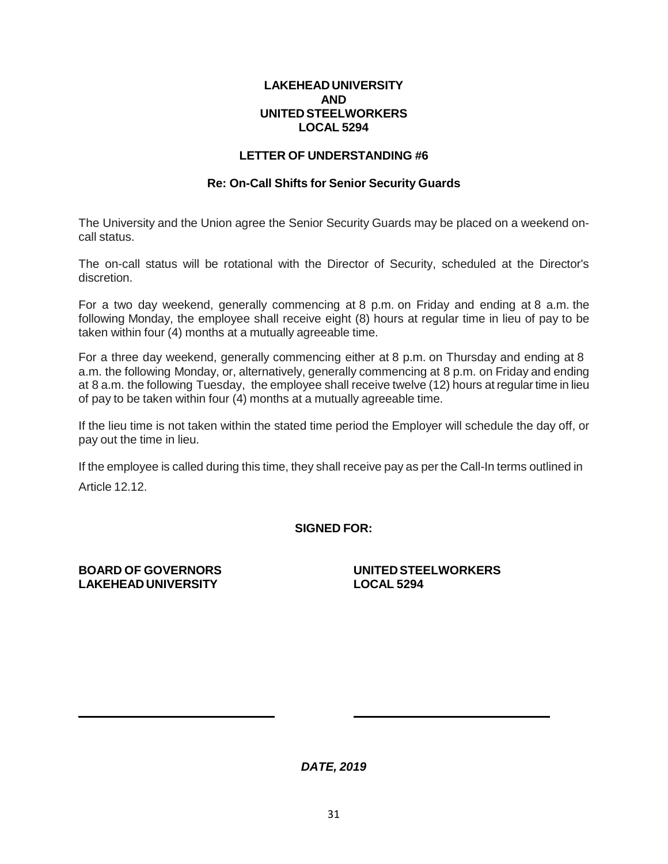## **LETTER OF UNDERSTANDING #6**

## **Re: On-Call Shifts for Senior Security Guards**

The University and the Union agree the Senior Security Guards may be placed on a weekend oncall status.

The on-call status will be rotational with the Director of Security, scheduled at the Director's discretion.

For a two day weekend, generally commencing at 8 p.m. on Friday and ending at 8 a.m. the following Monday, the employee shall receive eight (8) hours at regular time in lieu of pay to be taken within four (4) months at a mutually agreeable time.

For a three day weekend, generally commencing either at 8 p.m. on Thursday and ending at 8 a.m. the following Monday, or, alternatively, generally commencing at 8 p.m. on Friday and ending at 8 a.m. the following Tuesday, the employee shall receive twelve (12) hours at regulartime in lieu of pay to be taken within four (4) months at a mutually agreeable time.

If the lieu time is not taken within the stated time period the Employer will schedule the day off, or pay out the time in lieu.

If the employee is called during this time, they shall receive pay as per the Call-In terms outlined in Article 12.12.

**SIGNED FOR:**

**LAKEHEAD UNIVERSITY LOCAL 5294**

**BOARD OF GOVERNORS UNITED STEELWORKERS**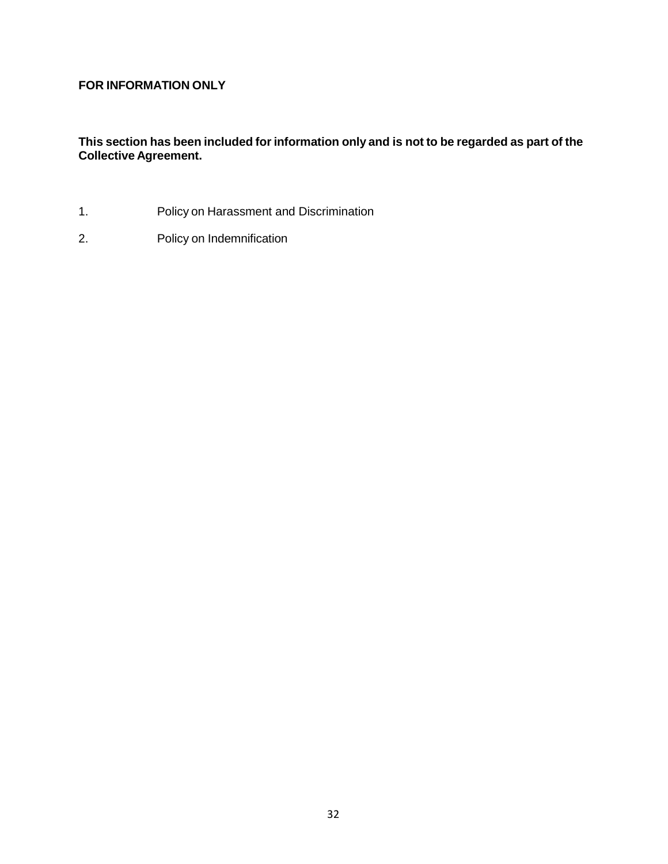# **FOR INFORMATION ONLY**

**This section has been included for information only and is not to be regarded as part of the Collective Agreement.**

- 1. Policy on Harassment and Discrimination
- 2. Policy on Indemnification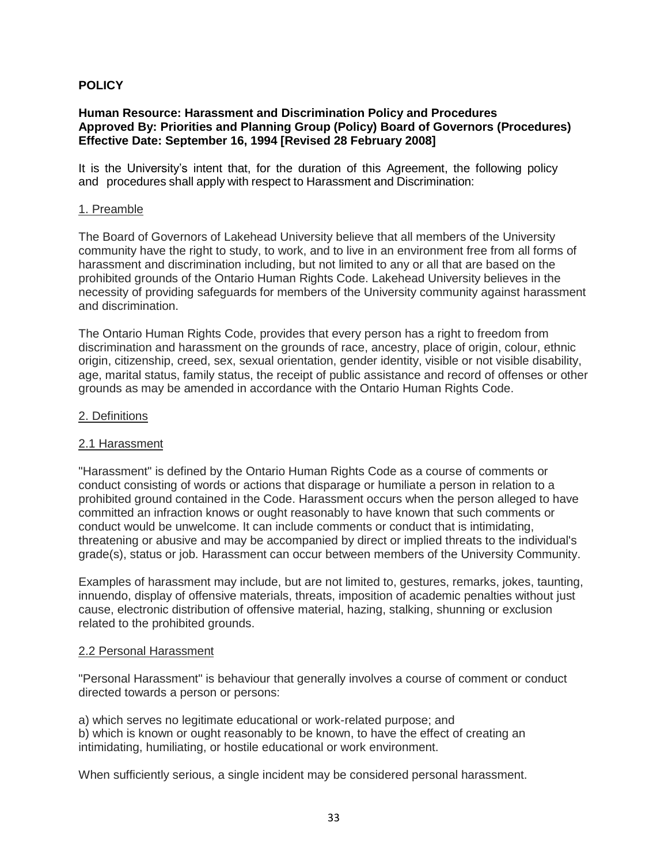## **POLICY**

## **Human Resource: Harassment and Discrimination Policy and Procedures Approved By: Priorities and Planning Group (Policy) Board of Governors (Procedures) Effective Date: September 16, 1994 [Revised 28 February 2008]**

It is the University's intent that, for the duration of this Agreement, the following policy and procedures shall apply with respect to Harassment and Discrimination:

#### 1. Preamble

The Board of Governors of Lakehead University believe that all members of the University community have the right to study, to work, and to live in an environment free from all forms of harassment and discrimination including, but not limited to any or all that are based on the prohibited grounds of the Ontario Human Rights Code. Lakehead University believes in the necessity of providing safeguards for members of the University community against harassment and discrimination.

The Ontario Human Rights Code, provides that every person has a right to freedom from discrimination and harassment on the grounds of race, ancestry, place of origin, colour, ethnic origin, citizenship, creed, sex, sexual orientation, gender identity, visible or not visible disability, age, marital status, family status, the receipt of public assistance and record of offenses or other grounds as may be amended in accordance with the Ontario Human Rights Code.

### 2. Definitions

## 2.1 Harassment

"Harassment" is defined by the Ontario Human Rights Code as a course of comments or conduct consisting of words or actions that disparage or humiliate a person in relation to a prohibited ground contained in the Code. Harassment occurs when the person alleged to have committed an infraction knows or ought reasonably to have known that such comments or conduct would be unwelcome. It can include comments or conduct that is intimidating, threatening or abusive and may be accompanied by direct or implied threats to the individual's grade(s), status or job. Harassment can occur between members of the University Community.

Examples of harassment may include, but are not limited to, gestures, remarks, jokes, taunting, innuendo, display of offensive materials, threats, imposition of academic penalties without just cause, electronic distribution of offensive material, hazing, stalking, shunning or exclusion related to the prohibited grounds.

#### 2.2 Personal Harassment

"Personal Harassment" is behaviour that generally involves a course of comment or conduct directed towards a person or persons:

a) which serves no legitimate educational or work-related purpose; and b) which is known or ought reasonably to be known, to have the effect of creating an intimidating, humiliating, or hostile educational or work environment.

When sufficiently serious, a single incident may be considered personal harassment.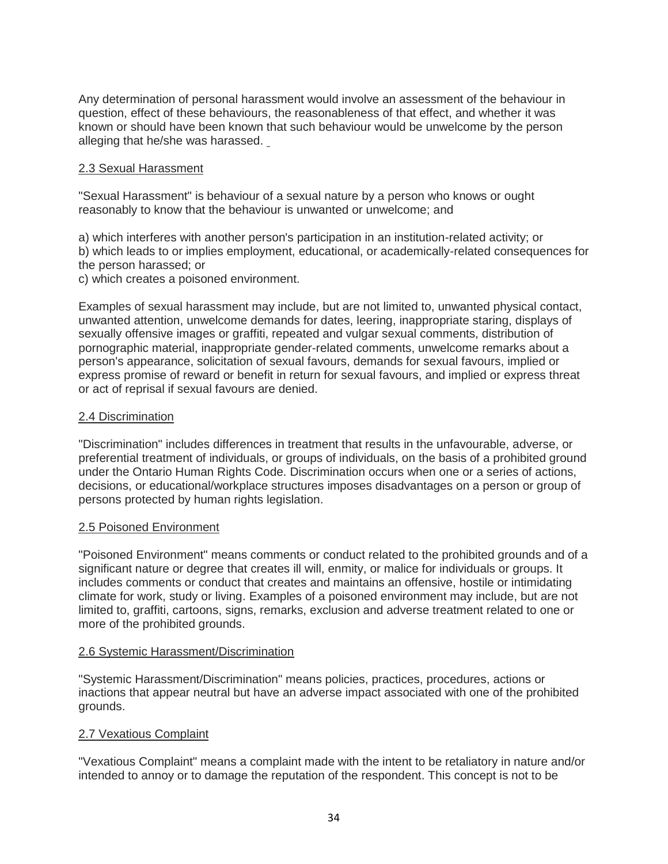Any determination of personal harassment would involve an assessment of the behaviour in question, effect of these behaviours, the reasonableness of that effect, and whether it was known or should have been known that such behaviour would be unwelcome by the person alleging that he/she was harassed.

## 2.3 Sexual Harassment

"Sexual Harassment" is behaviour of a sexual nature by a person who knows or ought reasonably to know that the behaviour is unwanted or unwelcome; and

a) which interferes with another person's participation in an institution-related activity; or b) which leads to or implies employment, educational, or academically-related consequences for the person harassed; or

c) which creates a poisoned environment.

Examples of sexual harassment may include, but are not limited to, unwanted physical contact, unwanted attention, unwelcome demands for dates, leering, inappropriate staring, displays of sexually offensive images or graffiti, repeated and vulgar sexual comments, distribution of pornographic material, inappropriate gender-related comments, unwelcome remarks about a person's appearance, solicitation of sexual favours, demands for sexual favours, implied or express promise of reward or benefit in return for sexual favours, and implied or express threat or act of reprisal if sexual favours are denied.

## 2.4 Discrimination

"Discrimination" includes differences in treatment that results in the unfavourable, adverse, or preferential treatment of individuals, or groups of individuals, on the basis of a prohibited ground under the Ontario Human Rights Code. Discrimination occurs when one or a series of actions, decisions, or educational/workplace structures imposes disadvantages on a person or group of persons protected by human rights legislation.

## 2.5 Poisoned Environment

"Poisoned Environment" means comments or conduct related to the prohibited grounds and of a significant nature or degree that creates ill will, enmity, or malice for individuals or groups. It includes comments or conduct that creates and maintains an offensive, hostile or intimidating climate for work, study or living. Examples of a poisoned environment may include, but are not limited to, graffiti, cartoons, signs, remarks, exclusion and adverse treatment related to one or more of the prohibited grounds.

#### 2.6 Systemic Harassment/Discrimination

"Systemic Harassment/Discrimination" means policies, practices, procedures, actions or inactions that appear neutral but have an adverse impact associated with one of the prohibited grounds.

## 2.7 Vexatious Complaint

"Vexatious Complaint" means a complaint made with the intent to be retaliatory in nature and/or intended to annoy or to damage the reputation of the respondent. This concept is not to be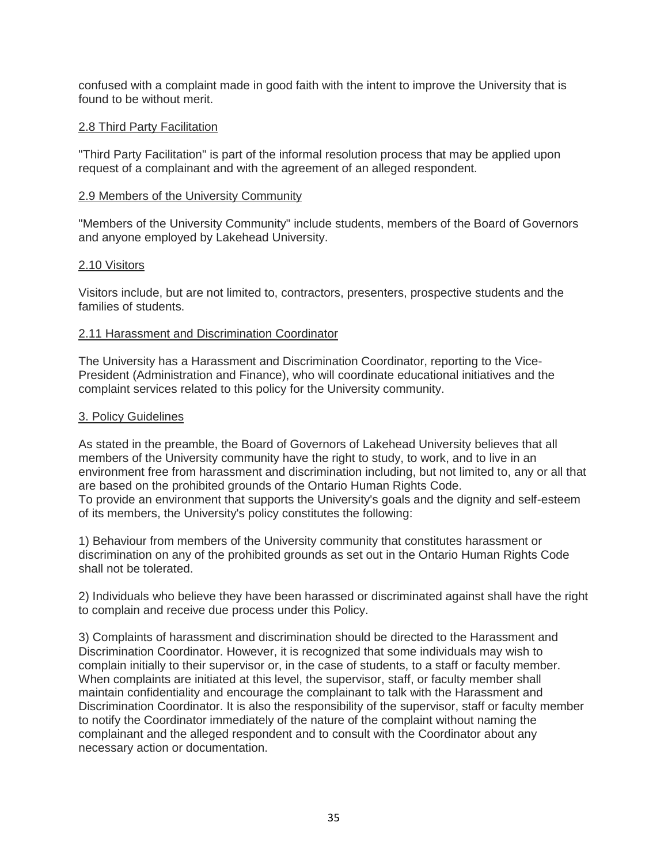confused with a complaint made in good faith with the intent to improve the University that is found to be without merit.

#### 2.8 Third Party Facilitation

"Third Party Facilitation" is part of the informal resolution process that may be applied upon request of a complainant and with the agreement of an alleged respondent.

### 2.9 Members of the University Community

"Members of the University Community" include students, members of the Board of Governors and anyone employed by Lakehead University.

### 2.10 Visitors

Visitors include, but are not limited to, contractors, presenters, prospective students and the families of students.

### 2.11 Harassment and Discrimination Coordinator

The University has a Harassment and Discrimination Coordinator, reporting to the Vice-President (Administration and Finance), who will coordinate educational initiatives and the complaint services related to this policy for the University community.

### 3. Policy Guidelines

As stated in the preamble, the Board of Governors of Lakehead University believes that all members of the University community have the right to study, to work, and to live in an environment free from harassment and discrimination including, but not limited to, any or all that are based on the prohibited grounds of the Ontario Human Rights Code. To provide an environment that supports the University's goals and the dignity and self-esteem of its members, the University's policy constitutes the following:

1) Behaviour from members of the University community that constitutes harassment or discrimination on any of the prohibited grounds as set out in the Ontario Human Rights Code shall not be tolerated.

2) Individuals who believe they have been harassed or discriminated against shall have the right to complain and receive due process under this Policy.

3) Complaints of harassment and discrimination should be directed to the Harassment and Discrimination Coordinator. However, it is recognized that some individuals may wish to complain initially to their supervisor or, in the case of students, to a staff or faculty member. When complaints are initiated at this level, the supervisor, staff, or faculty member shall maintain confidentiality and encourage the complainant to talk with the Harassment and Discrimination Coordinator. It is also the responsibility of the supervisor, staff or faculty member to notify the Coordinator immediately of the nature of the complaint without naming the complainant and the alleged respondent and to consult with the Coordinator about any necessary action or documentation.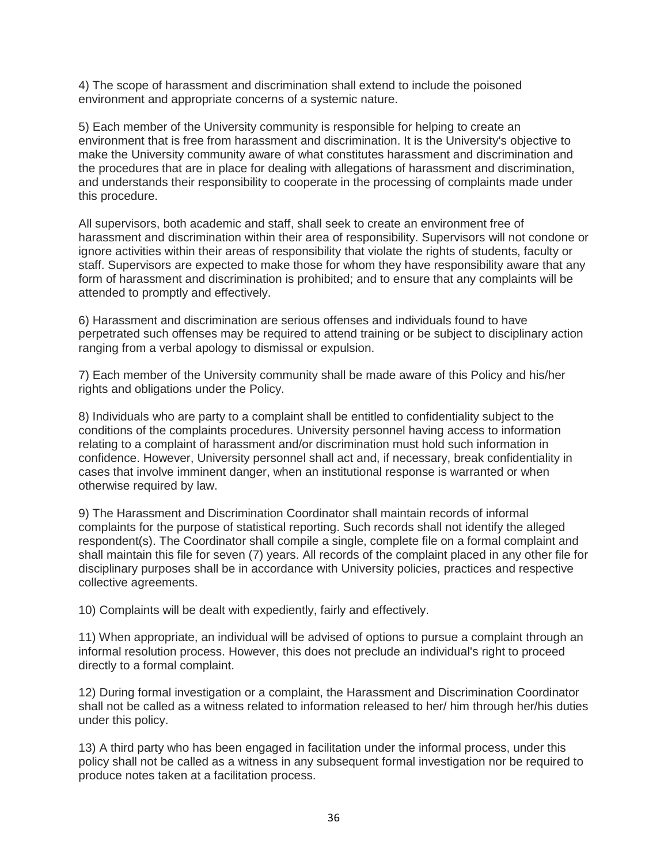4) The scope of harassment and discrimination shall extend to include the poisoned environment and appropriate concerns of a systemic nature.

5) Each member of the University community is responsible for helping to create an environment that is free from harassment and discrimination. It is the University's objective to make the University community aware of what constitutes harassment and discrimination and the procedures that are in place for dealing with allegations of harassment and discrimination, and understands their responsibility to cooperate in the processing of complaints made under this procedure.

All supervisors, both academic and staff, shall seek to create an environment free of harassment and discrimination within their area of responsibility. Supervisors will not condone or ignore activities within their areas of responsibility that violate the rights of students, faculty or staff. Supervisors are expected to make those for whom they have responsibility aware that any form of harassment and discrimination is prohibited; and to ensure that any complaints will be attended to promptly and effectively.

6) Harassment and discrimination are serious offenses and individuals found to have perpetrated such offenses may be required to attend training or be subject to disciplinary action ranging from a verbal apology to dismissal or expulsion.

7) Each member of the University community shall be made aware of this Policy and his/her rights and obligations under the Policy.

8) Individuals who are party to a complaint shall be entitled to confidentiality subject to the conditions of the complaints procedures. University personnel having access to information relating to a complaint of harassment and/or discrimination must hold such information in confidence. However, University personnel shall act and, if necessary, break confidentiality in cases that involve imminent danger, when an institutional response is warranted or when otherwise required by law.

9) The Harassment and Discrimination Coordinator shall maintain records of informal complaints for the purpose of statistical reporting. Such records shall not identify the alleged respondent(s). The Coordinator shall compile a single, complete file on a formal complaint and shall maintain this file for seven (7) years. All records of the complaint placed in any other file for disciplinary purposes shall be in accordance with University policies, practices and respective collective agreements.

10) Complaints will be dealt with expediently, fairly and effectively.

11) When appropriate, an individual will be advised of options to pursue a complaint through an informal resolution process. However, this does not preclude an individual's right to proceed directly to a formal complaint.

12) During formal investigation or a complaint, the Harassment and Discrimination Coordinator shall not be called as a witness related to information released to her/ him through her/his duties under this policy.

13) A third party who has been engaged in facilitation under the informal process, under this policy shall not be called as a witness in any subsequent formal investigation nor be required to produce notes taken at a facilitation process.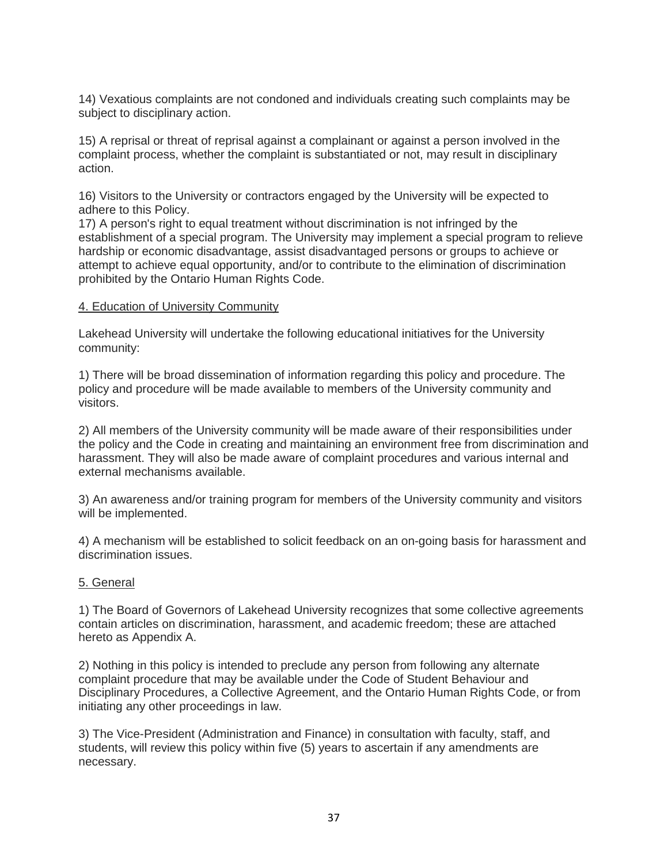14) Vexatious complaints are not condoned and individuals creating such complaints may be subject to disciplinary action.

15) A reprisal or threat of reprisal against a complainant or against a person involved in the complaint process, whether the complaint is substantiated or not, may result in disciplinary action.

16) Visitors to the University or contractors engaged by the University will be expected to adhere to this Policy.

17) A person's right to equal treatment without discrimination is not infringed by the establishment of a special program. The University may implement a special program to relieve hardship or economic disadvantage, assist disadvantaged persons or groups to achieve or attempt to achieve equal opportunity, and/or to contribute to the elimination of discrimination prohibited by the Ontario Human Rights Code.

### 4. Education of University Community

Lakehead University will undertake the following educational initiatives for the University community:

1) There will be broad dissemination of information regarding this policy and procedure. The policy and procedure will be made available to members of the University community and visitors.

2) All members of the University community will be made aware of their responsibilities under the policy and the Code in creating and maintaining an environment free from discrimination and harassment. They will also be made aware of complaint procedures and various internal and external mechanisms available.

3) An awareness and/or training program for members of the University community and visitors will be implemented.

4) A mechanism will be established to solicit feedback on an on-going basis for harassment and discrimination issues.

#### 5. General

1) The Board of Governors of Lakehead University recognizes that some collective agreements contain articles on discrimination, harassment, and academic freedom; these are attached hereto as Appendix A.

2) Nothing in this policy is intended to preclude any person from following any alternate complaint procedure that may be available under the Code of Student Behaviour and Disciplinary Procedures, a Collective Agreement, and the Ontario Human Rights Code, or from initiating any other proceedings in law.

3) The Vice-President (Administration and Finance) in consultation with faculty, staff, and students, will review this policy within five (5) years to ascertain if any amendments are necessary.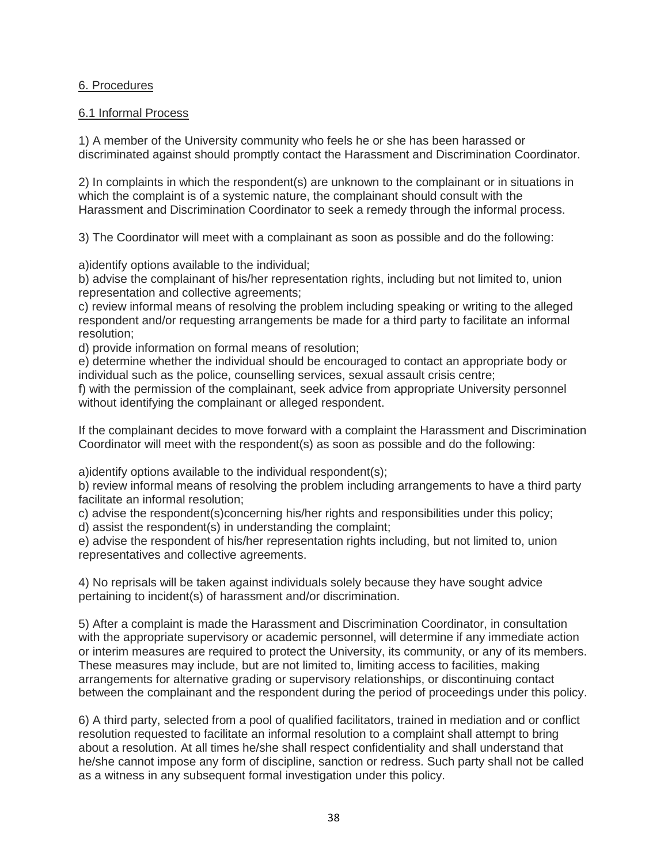## 6. Procedures

## 6.1 Informal Process

1) A member of the University community who feels he or she has been harassed or discriminated against should promptly contact the Harassment and Discrimination Coordinator.

2) In complaints in which the respondent(s) are unknown to the complainant or in situations in which the complaint is of a systemic nature, the complainant should consult with the Harassment and Discrimination Coordinator to seek a remedy through the informal process.

3) The Coordinator will meet with a complainant as soon as possible and do the following:

a)identify options available to the individual;

b) advise the complainant of his/her representation rights, including but not limited to, union representation and collective agreements;

c) review informal means of resolving the problem including speaking or writing to the alleged respondent and/or requesting arrangements be made for a third party to facilitate an informal resolution;

d) provide information on formal means of resolution;

e) determine whether the individual should be encouraged to contact an appropriate body or individual such as the police, counselling services, sexual assault crisis centre;

f) with the permission of the complainant, seek advice from appropriate University personnel without identifying the complainant or alleged respondent.

If the complainant decides to move forward with a complaint the Harassment and Discrimination Coordinator will meet with the respondent(s) as soon as possible and do the following:

a)identify options available to the individual respondent(s);

b) review informal means of resolving the problem including arrangements to have a third party facilitate an informal resolution;

c) advise the respondent(s)concerning his/her rights and responsibilities under this policy; d) assist the respondent(s) in understanding the complaint;

e) advise the respondent of his/her representation rights including, but not limited to, union representatives and collective agreements.

4) No reprisals will be taken against individuals solely because they have sought advice pertaining to incident(s) of harassment and/or discrimination.

5) After a complaint is made the Harassment and Discrimination Coordinator, in consultation with the appropriate supervisory or academic personnel, will determine if any immediate action or interim measures are required to protect the University, its community, or any of its members. These measures may include, but are not limited to, limiting access to facilities, making arrangements for alternative grading or supervisory relationships, or discontinuing contact between the complainant and the respondent during the period of proceedings under this policy.

6) A third party, selected from a pool of qualified facilitators, trained in mediation and or conflict resolution requested to facilitate an informal resolution to a complaint shall attempt to bring about a resolution. At all times he/she shall respect confidentiality and shall understand that he/she cannot impose any form of discipline, sanction or redress. Such party shall not be called as a witness in any subsequent formal investigation under this policy.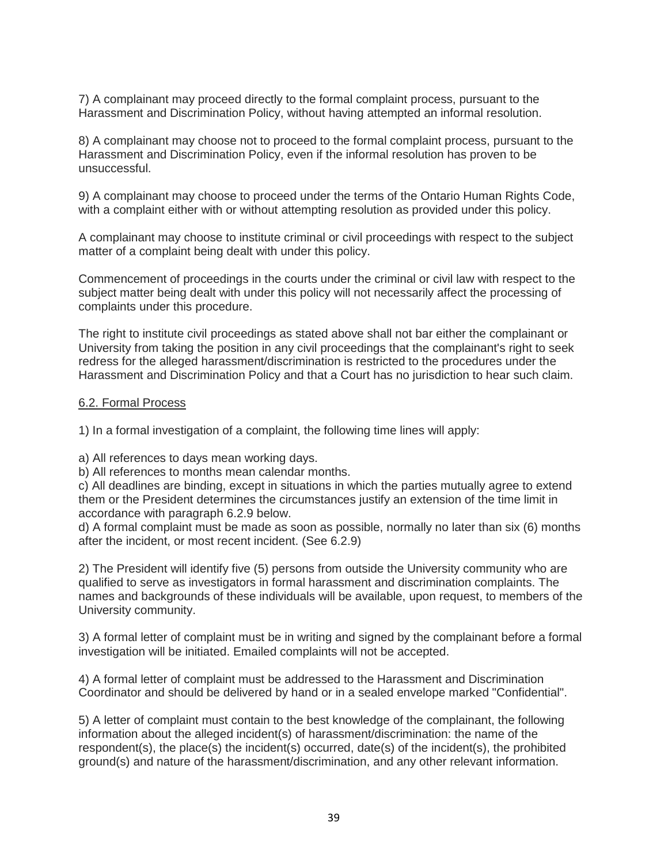7) A complainant may proceed directly to the formal complaint process, pursuant to the Harassment and Discrimination Policy, without having attempted an informal resolution.

8) A complainant may choose not to proceed to the formal complaint process, pursuant to the Harassment and Discrimination Policy, even if the informal resolution has proven to be unsuccessful.

9) A complainant may choose to proceed under the terms of the Ontario Human Rights Code, with a complaint either with or without attempting resolution as provided under this policy.

A complainant may choose to institute criminal or civil proceedings with respect to the subject matter of a complaint being dealt with under this policy.

Commencement of proceedings in the courts under the criminal or civil law with respect to the subject matter being dealt with under this policy will not necessarily affect the processing of complaints under this procedure.

The right to institute civil proceedings as stated above shall not bar either the complainant or University from taking the position in any civil proceedings that the complainant's right to seek redress for the alleged harassment/discrimination is restricted to the procedures under the Harassment and Discrimination Policy and that a Court has no jurisdiction to hear such claim.

#### 6.2. Formal Process

1) In a formal investigation of a complaint, the following time lines will apply:

a) All references to days mean working days.

b) All references to months mean calendar months.

c) All deadlines are binding, except in situations in which the parties mutually agree to extend them or the President determines the circumstances justify an extension of the time limit in accordance with paragraph 6.2.9 below.

d) A formal complaint must be made as soon as possible, normally no later than six (6) months after the incident, or most recent incident. (See 6.2.9)

2) The President will identify five (5) persons from outside the University community who are qualified to serve as investigators in formal harassment and discrimination complaints. The names and backgrounds of these individuals will be available, upon request, to members of the University community.

3) A formal letter of complaint must be in writing and signed by the complainant before a formal investigation will be initiated. Emailed complaints will not be accepted.

4) A formal letter of complaint must be addressed to the Harassment and Discrimination Coordinator and should be delivered by hand or in a sealed envelope marked "Confidential".

5) A letter of complaint must contain to the best knowledge of the complainant, the following information about the alleged incident(s) of harassment/discrimination: the name of the respondent(s), the place(s) the incident(s) occurred, date(s) of the incident(s), the prohibited ground(s) and nature of the harassment/discrimination, and any other relevant information.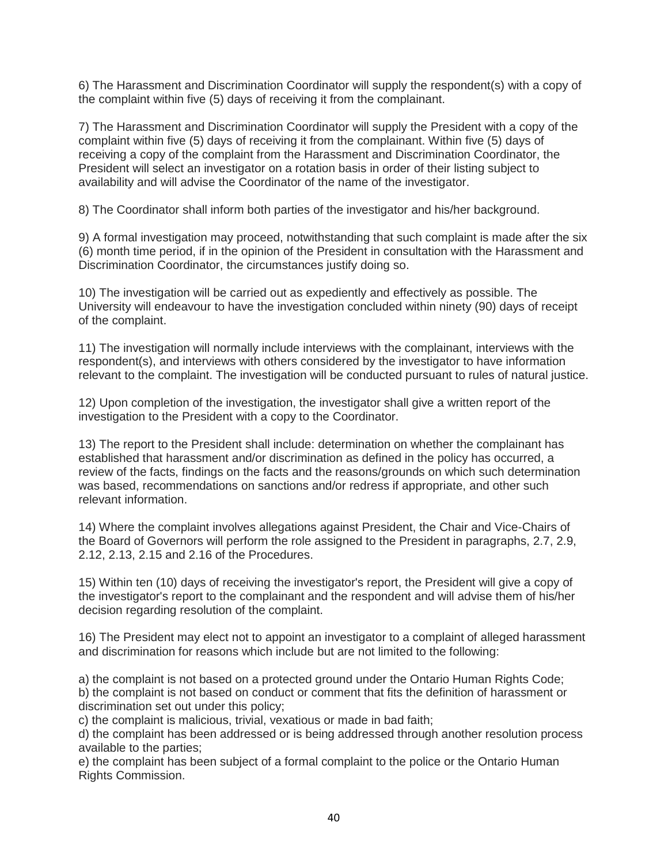6) The Harassment and Discrimination Coordinator will supply the respondent(s) with a copy of the complaint within five (5) days of receiving it from the complainant.

7) The Harassment and Discrimination Coordinator will supply the President with a copy of the complaint within five (5) days of receiving it from the complainant. Within five (5) days of receiving a copy of the complaint from the Harassment and Discrimination Coordinator, the President will select an investigator on a rotation basis in order of their listing subject to availability and will advise the Coordinator of the name of the investigator.

8) The Coordinator shall inform both parties of the investigator and his/her background.

9) A formal investigation may proceed, notwithstanding that such complaint is made after the six (6) month time period, if in the opinion of the President in consultation with the Harassment and Discrimination Coordinator, the circumstances justify doing so.

10) The investigation will be carried out as expediently and effectively as possible. The University will endeavour to have the investigation concluded within ninety (90) days of receipt of the complaint.

11) The investigation will normally include interviews with the complainant, interviews with the respondent(s), and interviews with others considered by the investigator to have information relevant to the complaint. The investigation will be conducted pursuant to rules of natural justice.

12) Upon completion of the investigation, the investigator shall give a written report of the investigation to the President with a copy to the Coordinator.

13) The report to the President shall include: determination on whether the complainant has established that harassment and/or discrimination as defined in the policy has occurred, a review of the facts, findings on the facts and the reasons/grounds on which such determination was based, recommendations on sanctions and/or redress if appropriate, and other such relevant information.

14) Where the complaint involves allegations against President, the Chair and Vice-Chairs of the Board of Governors will perform the role assigned to the President in paragraphs, 2.7, 2.9, 2.12, 2.13, 2.15 and 2.16 of the Procedures.

15) Within ten (10) days of receiving the investigator's report, the President will give a copy of the investigator's report to the complainant and the respondent and will advise them of his/her decision regarding resolution of the complaint.

16) The President may elect not to appoint an investigator to a complaint of alleged harassment and discrimination for reasons which include but are not limited to the following:

a) the complaint is not based on a protected ground under the Ontario Human Rights Code; b) the complaint is not based on conduct or comment that fits the definition of harassment or discrimination set out under this policy;

c) the complaint is malicious, trivial, vexatious or made in bad faith;

d) the complaint has been addressed or is being addressed through another resolution process available to the parties;

e) the complaint has been subject of a formal complaint to the police or the Ontario Human Rights Commission.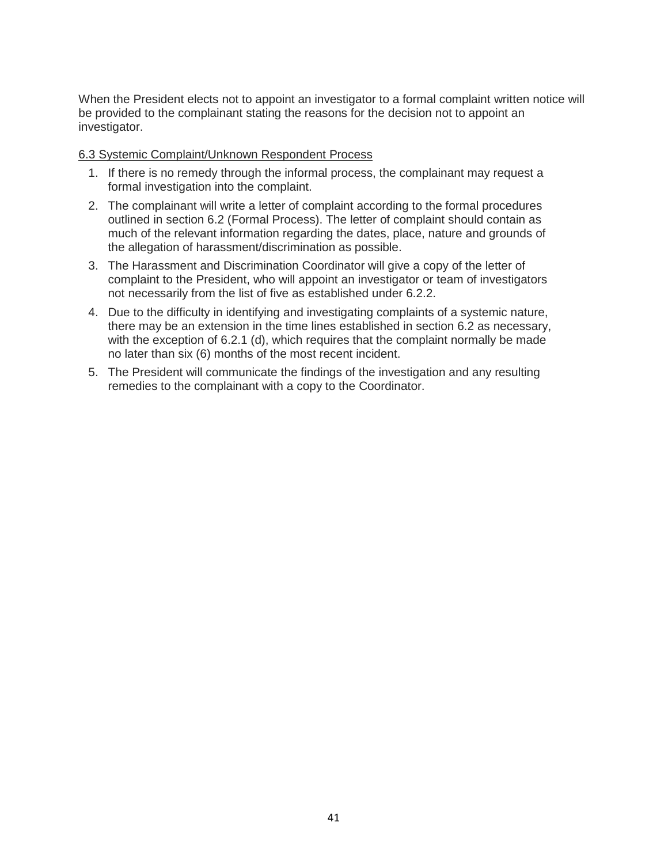When the President elects not to appoint an investigator to a formal complaint written notice will be provided to the complainant stating the reasons for the decision not to appoint an investigator.

## 6.3 Systemic Complaint/Unknown Respondent Process

- 1. If there is no remedy through the informal process, the complainant may request a formal investigation into the complaint.
- 2. The complainant will write a letter of complaint according to the formal procedures outlined in section 6.2 (Formal Process). The letter of complaint should contain as much of the relevant information regarding the dates, place, nature and grounds of the allegation of harassment/discrimination as possible.
- 3. The Harassment and Discrimination Coordinator will give a copy of the letter of complaint to the President, who will appoint an investigator or team of investigators not necessarily from the list of five as established under 6.2.2.
- 4. Due to the difficulty in identifying and investigating complaints of a systemic nature, there may be an extension in the time lines established in section 6.2 as necessary, with the exception of 6.2.1 (d), which requires that the complaint normally be made no later than six (6) months of the most recent incident.
- 5. The President will communicate the findings of the investigation and any resulting remedies to the complainant with a copy to the Coordinator.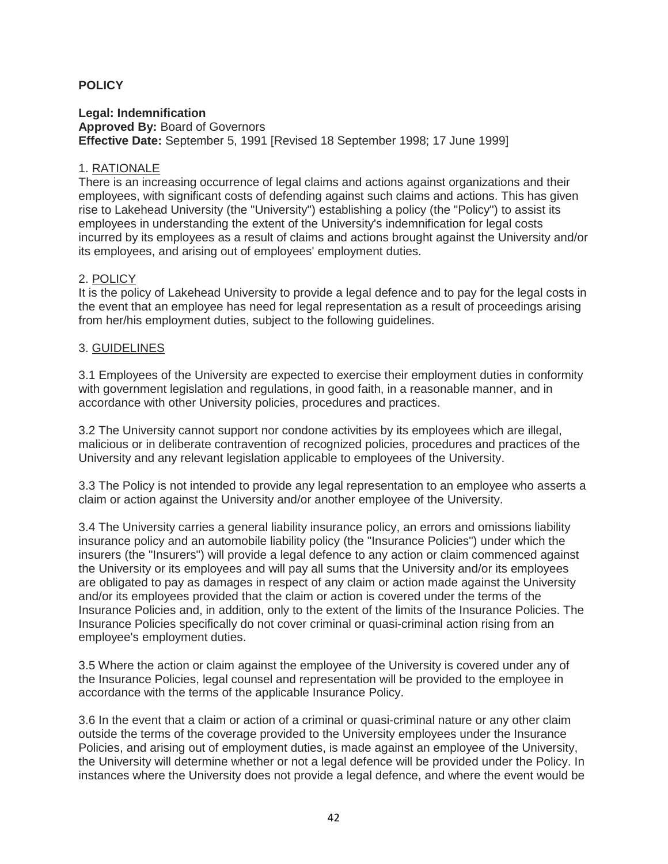## **POLICY**

**Legal: Indemnification Approved By:** Board of Governors **Effective Date:** September 5, 1991 [Revised 18 September 1998; 17 June 1999]

## 1. RATIONALE

There is an increasing occurrence of legal claims and actions against organizations and their employees, with significant costs of defending against such claims and actions. This has given rise to Lakehead University (the "University") establishing a policy (the "Policy") to assist its employees in understanding the extent of the University's indemnification for legal costs incurred by its employees as a result of claims and actions brought against the University and/or its employees, and arising out of employees' employment duties.

### 2. POLICY

It is the policy of Lakehead University to provide a legal defence and to pay for the legal costs in the event that an employee has need for legal representation as a result of proceedings arising from her/his employment duties, subject to the following guidelines.

### 3. GUIDELINES

3.1 Employees of the University are expected to exercise their employment duties in conformity with government legislation and regulations, in good faith, in a reasonable manner, and in accordance with other University policies, procedures and practices.

3.2 The University cannot support nor condone activities by its employees which are illegal, malicious or in deliberate contravention of recognized policies, procedures and practices of the University and any relevant legislation applicable to employees of the University.

3.3 The Policy is not intended to provide any legal representation to an employee who asserts a claim or action against the University and/or another employee of the University.

3.4 The University carries a general liability insurance policy, an errors and omissions liability insurance policy and an automobile liability policy (the "Insurance Policies") under which the insurers (the "Insurers") will provide a legal defence to any action or claim commenced against the University or its employees and will pay all sums that the University and/or its employees are obligated to pay as damages in respect of any claim or action made against the University and/or its employees provided that the claim or action is covered under the terms of the Insurance Policies and, in addition, only to the extent of the limits of the Insurance Policies. The Insurance Policies specifically do not cover criminal or quasi-criminal action rising from an employee's employment duties.

3.5 Where the action or claim against the employee of the University is covered under any of the Insurance Policies, legal counsel and representation will be provided to the employee in accordance with the terms of the applicable Insurance Policy.

3.6 In the event that a claim or action of a criminal or quasi-criminal nature or any other claim outside the terms of the coverage provided to the University employees under the Insurance Policies, and arising out of employment duties, is made against an employee of the University, the University will determine whether or not a legal defence will be provided under the Policy. In instances where the University does not provide a legal defence, and where the event would be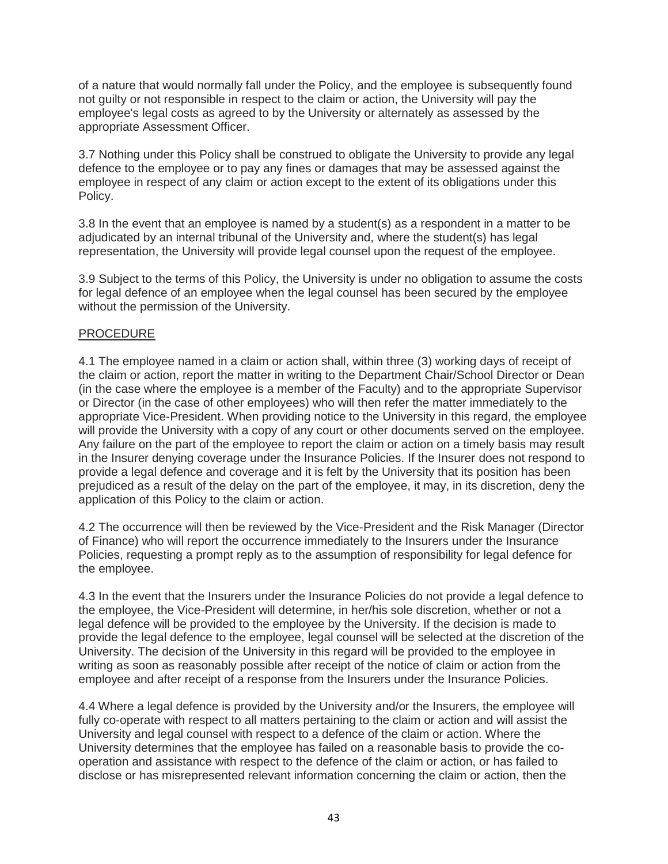of a nature that would normally fall under the Policy, and the employee is subsequently found not guilty or not responsible in respect to the claim or action, the University will pay the employee's legal costs as agreed to by the University or alternately as assessed by the appropriate Assessment Officer.

3.7 Nothing under this Policy shall be construed to obligate the University to provide any legal defence to the employee or to pay any fines or damages that may be assessed against the employee in respect of any claim or action except to the extent of its obligations under this Policy.

3.8 In the event that an employee is named by a student(s) as a respondent in a matter to be adjudicated by an internal tribunal of the University and, where the student(s) has legal representation, the University will provide legal counsel upon the request of the employee.

3.9 Subject to the terms of this Policy, the University is under no obligation to assume the costs for legal defence of an employee when the legal counsel has been secured by the employee without the permission of the University.

## PROCEDURE

4.1 The employee named in a claim or action shall, within three (3) working days of receipt of the claim or action, report the matter in writing to the Department Chair/School Director or Dean (in the case where the employee is a member of the Faculty) and to the appropriate Supervisor or Director (in the case of other employees) who will then refer the matter immediately to the appropriate Vice-President. When providing notice to the University in this regard, the employee will provide the University with a copy of any court or other documents served on the employee. Any failure on the part of the employee to report the claim or action on a timely basis may result in the Insurer denying coverage under the Insurance Policies. If the Insurer does not respond to provide a legal defence and coverage and it is felt by the University that its position has been prejudiced as a result of the delay on the part of the employee, it may, in its discretion, deny the application of this Policy to the claim or action.

4.2 The occurrence will then be reviewed by the Vice-President and the Risk Manager (Director of Finance) who will report the occurrence immediately to the Insurers under the Insurance Policies, requesting a prompt reply as to the assumption of responsibility for legal defence for the employee.

4.3 In the event that the Insurers under the Insurance Policies do not provide a legal defence to the employee, the Vice-President will determine, in her/his sole discretion, whether or not a legal defence will be provided to the employee by the University. If the decision is made to provide the legal defence to the employee, legal counsel will be selected at the discretion of the University. The decision of the University in this regard will be provided to the employee in writing as soon as reasonably possible after receipt of the notice of claim or action from the employee and after receipt of a response from the Insurers under the Insurance Policies.

4.4 Where a legal defence is provided by the University and/or the Insurers, the employee will fully co-operate with respect to all matters pertaining to the claim or action and will assist the University and legal counsel with respect to a defence of the claim or action. Where the University determines that the employee has failed on a reasonable basis to provide the cooperation and assistance with respect to the defence of the claim or action, or has failed to disclose or has misrepresented relevant information concerning the claim or action, then the